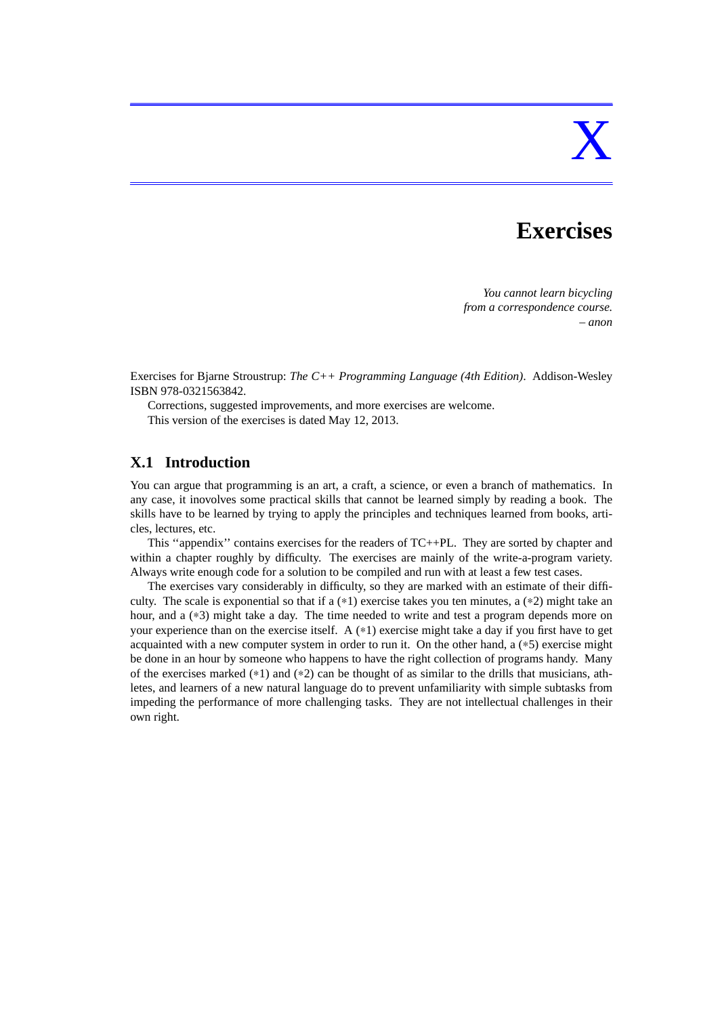# X

## **Exercises**

*You cannot learn bicycling from a correspondence course. – anon*

Exercises for Bjarne Stroustrup: *The C++ Programming Language (4th Edition)*. Addison-Wesley ISBN 978-0321563842.

Corrections, suggested improvements, and more exercises are welcome. This version of the exercises is dated May 12, 2013.

#### **X.1 Introduction**

You can argue that programming is an art, a craft, a science, or even a branch of mathematics. In any case, it inovolves some practical skills that cannot be learned simply by reading a book. The skills have to be learned by trying to apply the principles and techniques learned from books, articles, lectures, etc.

This ''appendix'' contains exercises for the readers of TC++PL. They are sorted by chapter and within a chapter roughly by difficulty. The exercises are mainly of the write-a-program variety. Always write enough code for a solution to be compiled and run with at least a few test cases.

The exercises vary considerably in difficulty, so they are marked with an estimate of their difficulty. The scale is exponential so that if a (∗1) exercise takes you ten minutes, a (∗2) might take an hour, and a (∗3) might take a day. The time needed to write and test a program depends more on your experience than on the exercise itself. A (∗1) exercise might take a day if you first have to get acquainted with a new computer system in order to run it. On the other hand, a (∗5) exercise might be done in an hour by someone who happens to have the right collection of programs handy. Many of the exercises marked (∗1) and (∗2) can be thought of as similar to the drills that musicians, athletes, and learners of a new natural language do to prevent unfamiliarity with simple subtasks from impeding the performance of more challenging tasks. They are not intellectual challenges in their own right.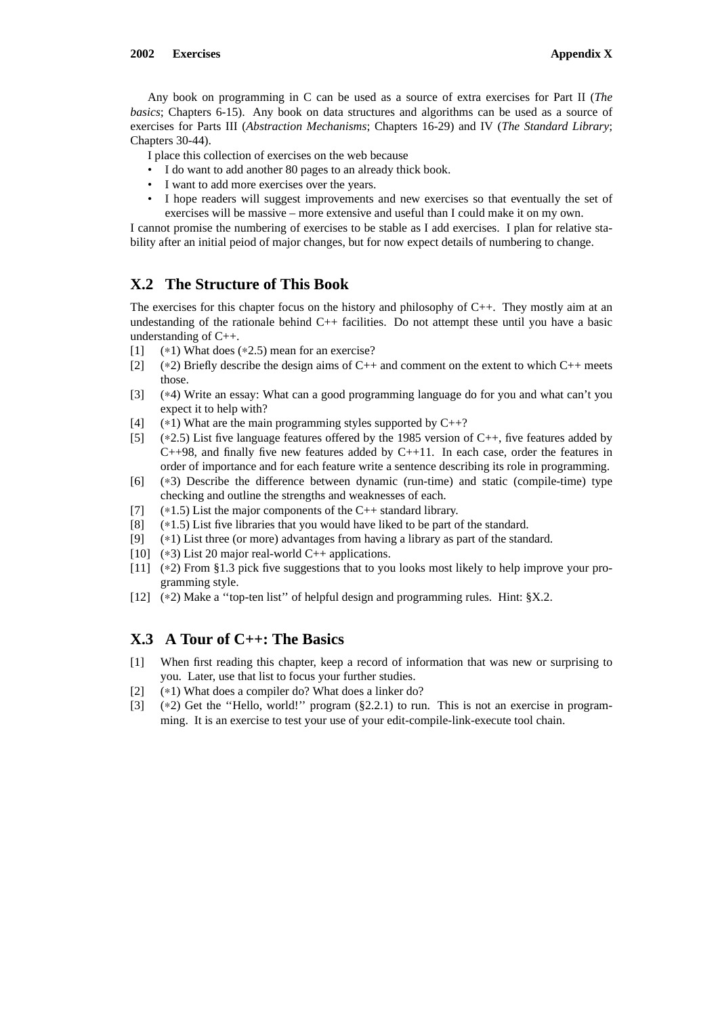Any book on programming in C can be used as a source of extra exercises for Part II (*The basics*; Chapters 6-15). Any book on data structures and algorithms can be used as a source of exercises for Parts III (*Abstraction Mechanisms*; Chapters 16-29) and IV (*The Standard Library*; Chapters 30-44).

I place this collection of exercises on the web because

- I do want to add another 80 pages to an already thick book.
- I want to add more exercises over the years.
- I hope readers will suggest improvements and new exercises so that eventually the set of exercises will be massive – more extensive and useful than I could make it on my own.

I cannot promise the numbering of exercises to be stable as I add exercises. I plan for relative stability after an initial peiod of major changes, but for now expect details of numbering to change.

#### **X.2 The Structure of This Book**

The exercises for this chapter focus on the history and philosophy of  $C_{++}$ . They mostly aim at an undestanding of the rationale behind C++ facilities. Do not attempt these until you have a basic understanding of C++.

- [1] (\*1) What does (\*2.5) mean for an exercise?
- [2]  $(*2)$  Briefly describe the design aims of C++ and comment on the extent to which C++ meets those.
- [3] (∗4) Write an essay: What can a good programming language do for you and what can't you expect it to help with?
- [4]  $(*1)$  What are the main programming styles supported by  $C++?$
- [5] (∗2.5) List five language features offered by the 1985 version of C++, five features added by  $C++98$ , and finally five new features added by  $C++11$ . In each case, order the features in order of importance and for each feature write a sentence describing its role in programming.
- [6] (∗3) Describe the difference between dynamic (run-time) and static (compile-time) type checking and outline the strengths and weaknesses of each.
- [7] (\*1.5) List the major components of the C++ standard library.
- [8] (∗1.5) List five libraries that you would have liked to be part of the standard.
- [9] (\*1) List three (or more) advantages from having a library as part of the standard.
- [10] (\*3) List 20 major real-world C++ applications.
- [11] (∗2) From §1.3 pick five suggestions that to you looks most likely to help improve your programming style.
- [12] (\*2) Make a "top-ten list" of helpful design and programming rules. Hint: §X.2.

#### **X.3 A Tour of C++: The Basics**

- [1] When first reading this chapter, keep a record of information that was new or surprising to you. Later, use that list to focus your further studies.
- [2] (\*1) What does a compiler do? What does a linker do?
- [3] (\*2) Get the "Hello, world!" program (§2.2.1) to run. This is not an exercise in programming. It is an exercise to test your use of your edit-compile-link-execute tool chain.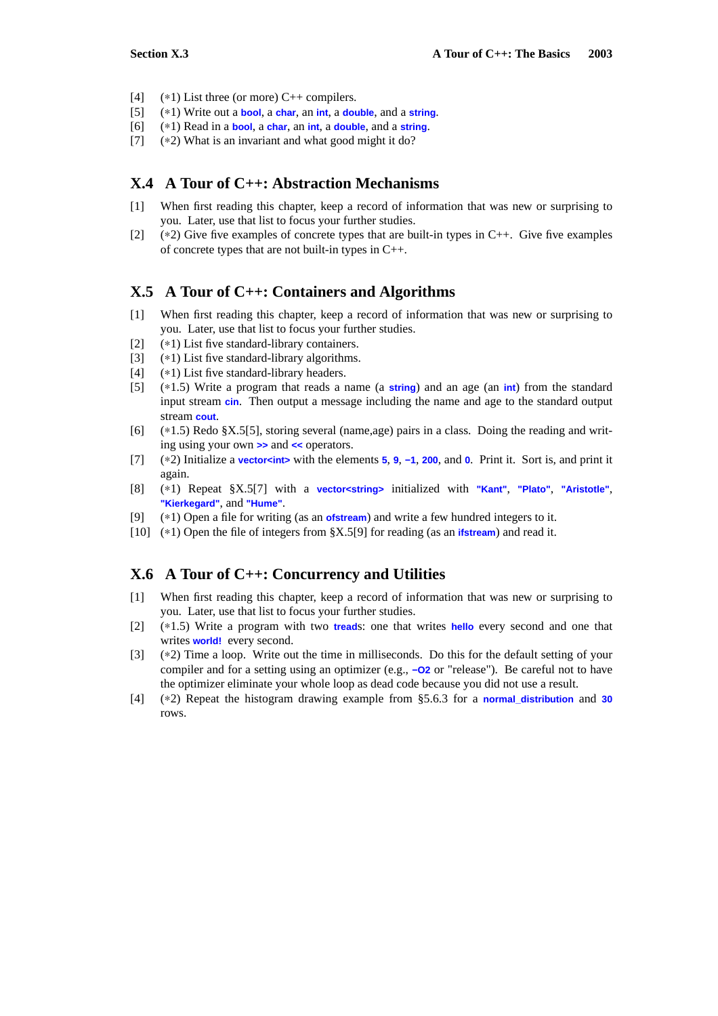- [4]  $(*1)$  List three (or more) C++ compilers.
- [5] (∗1) Write out a **bool**, a **char**, an **int**, a **double**, and a **string**.
- [6] (∗1) Read in a **bool**, a **char**, an **int**, a **double**, and a **string**.
- [7] (\*2) What is an invariant and what good might it do?

#### **X.4 A Tour of C++: Abstraction Mechanisms**

- [1] When first reading this chapter, keep a record of information that was new or surprising to you. Later, use that list to focus your further studies.
- [2] (∗2) Give five examples of concrete types that are built-in types in C++. Give five examples of concrete types that are not built-in types in C++.

#### **X.5 A Tour of C++: Containers and Algorithms**

- [1] When first reading this chapter, keep a record of information that was new or surprising to you. Later, use that list to focus your further studies.
- [2] (\*1) List five standard-library containers.
- [3] (\*1) List five standard-library algorithms.
- [4] (\*1) List five standard-library headers.
- [5] (∗1.5) Write a program that reads a name (a **string**) and an age (an **int**) from the standard input stream **cin**. Then output a message including the name and age to the standard output stream **cout**.
- [6] (∗1.5) Redo §X.5[5], storing several (name,age) pairs in a class. Doing the reading and writing using your own **>>** and **<<** operators.
- [7] (∗2) Initialize a **vector<int>** with the elements **5**, **9**, **−1**, **200**, and **0**. Print it. Sort is, and print it again.
- [8] (∗1) Repeat §X.5[7] with a **vector<string>** initialized with **"Kant"**, **"Plato"**, **"Aristotle"**, **"Kierkegard"**, and **"Hume"**.
- [9] (∗1) Open a file for writing (as an **ofstream**) and write a few hundred integers to it.
- [10] (∗1) Open the file of integers from §X.5[9] for reading (as an **ifstream**) and read it.

#### **X.6 A Tour of C++: Concurrency and Utilities**

- [1] When first reading this chapter, keep a record of information that was new or surprising to you. Later, use that list to focus your further studies.
- [2] (\*1.5) Write a program with two **treads**: one that writes **hello** every second and one that writes **world!** every second.
- [3] (∗2) Time a loop. Write out the time in milliseconds. Do this for the default setting of your compiler and for a setting using an optimizer (e.g., **−O2** or "release"). Be careful not to have the optimizer eliminate your whole loop as dead code because you did not use a result.
- [4] (∗2) Repeat the histogram drawing example from §5.6.3 for a **normal\_distribution** and **30** rows.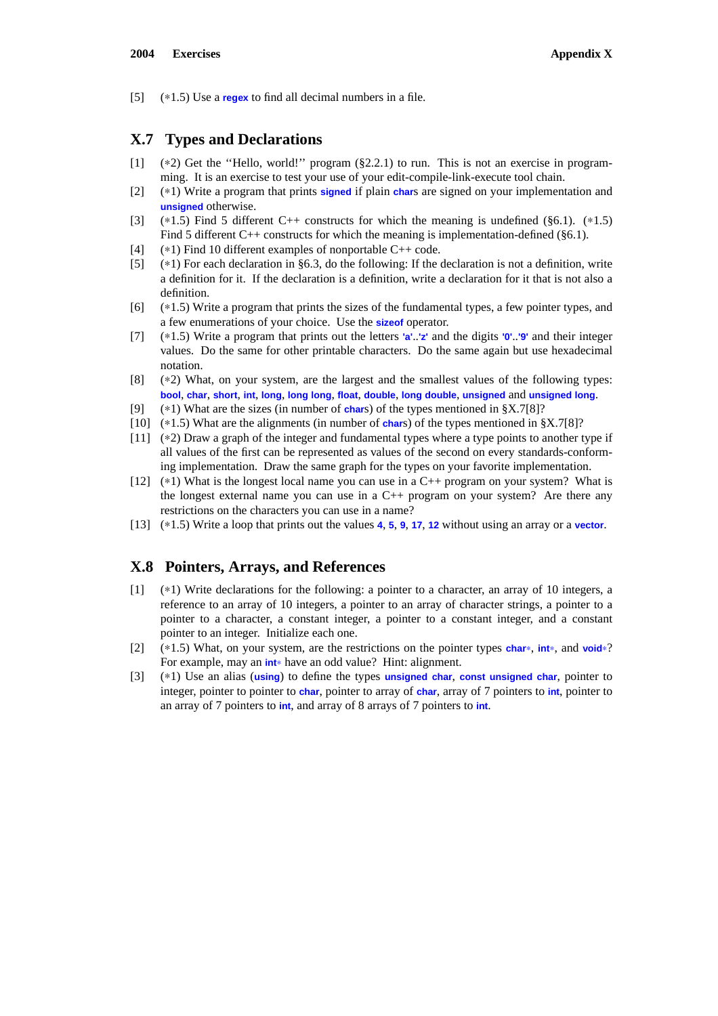[5] (\*1.5) Use a **regex** to find all decimal numbers in a file.

#### **X.7 Types and Declarations**

- [1] (\*2) Get the "Hello, world!" program (§2.2.1) to run. This is not an exercise in programming. It is an exercise to test your use of your edit-compile-link-execute tool chain.
- [2] (∗1) Write a program that prints **signed** if plain **char**s are signed on your implementation and **unsigned** otherwise.
- [3] (∗1.5) Find 5 different C++ constructs for which the meaning is undefined (§6.1). (∗1.5) Find 5 different C++ constructs for which the meaning is implementation-defined  $(\S6.1)$ .
- [4] (∗1) Find 10 different examples of nonportable C++ code.
- [5] (∗1) For each declaration in §6.3, do the following: If the declaration is not a definition, write a definition for it. If the declaration is a definition, write a declaration for it that is not also a definition.
- [6] (∗1.5) Write a program that prints the sizes of the fundamental types, a few pointer types, and a few enumerations of your choice. Use the **size of** operator.
- [7] (∗1.5) Write a program that prints out the letters **'a'**..**'z'** and the digits **'0'**..**'9'** and their integer values. Do the same for other printable characters. Do the same again but use hexadecimal notation.
- [8] (∗2) What, on your system, are the largest and the smallest values of the following types: **bool**, **char**, **shor t**, **int**, **long**, **long long**, **float**, **double**, **long double**, **unsigned** and **unsigned long**.
- [9] (∗1) What are the sizes (in number of **char**s) of the types mentioned in §X.7[8]?
- [10] (∗1.5) What are the alignments (in number of **char**s) of the types mentioned in §X.7[8]?
- [11] (∗2) Draw a graph of the integer and fundamental types where a type points to another type if all values of the first can be represented as values of the second on every standards-conforming implementation. Draw the same graph for the types on your favorite implementation.
- [12] (\*1) What is the longest local name you can use in a C++ program on your system? What is the longest external name you can use in a  $C_{++}$  program on your system? Are there any restrictions on the characters you can use in a name?
- [13] (∗1.5) Write a loop that prints out the values **4**, **5**, **9**, **17**, **12** without using an array or a **vector**.

#### **X.8 Pointers, Arrays, and References**

- [1] (\*1) Write declarations for the following: a pointer to a character, an array of 10 integers, a reference to an array of 10 integers, a pointer to an array of character strings, a pointer to a pointer to a character, a constant integer, a pointer to a constant integer, and a constant pointer to an integer. Initialize each one.
- [2] (∗1.5) What, on your system, are the restrictions on the pointer types **char**∗, **int**∗, and **void**∗? For example, may an **int**∗ have an odd value? Hint: alignment.
- [3] (∗1) Use an alias (**using**) to define the types **unsigned char**, **const unsigned char**, pointer to integer, pointer to pointer to **char**, pointer to array of **char**, array of 7 pointers to **int**, pointer to an array of 7 pointers to **int**, and array of 8 arrays of 7 pointers to **int**.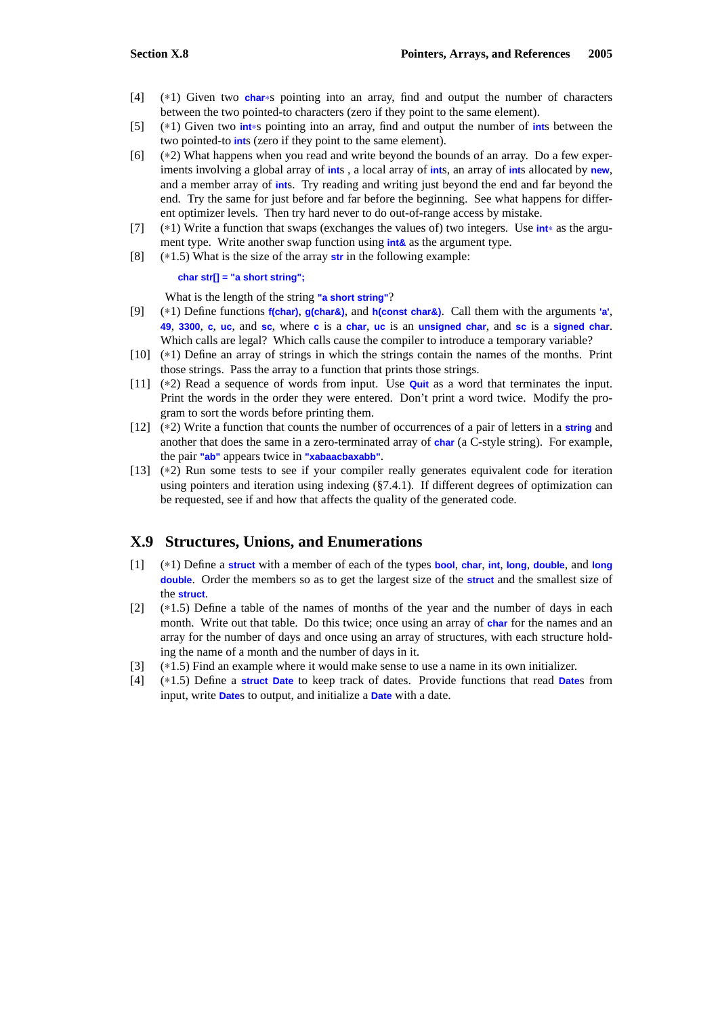- [4] (∗1) Given two **char**∗s pointing into an array, find and output the number of characters between the two pointed-to characters (zero if they point to the same element).
- [5] (∗1) Given two **int**∗s pointing into an array, find and output the number of **int**s between the two pointed-to **int**s (zero if they point to the same element).
- [6] (∗2) What happens when you read and write beyond the bounds of an array. Do a few experiments involving a global array of **int**s , a local array of **int**s, an array of **int**s allocated by **new**, and a member array of **int**s. Try reading and writing just beyond the end and far beyond the end. Try the same for just before and far before the beginning. See what happens for different optimizer levels. Then try hard never to do out-of-range access by mistake.
- [7] (∗1) Write a function that swaps (exchanges the values of) two integers. Use **int**∗ as the argument type. Write another swap function using **int&** as the argument type.
- [8] (∗1.5) What is the size of the array **str** in the following example:

**char str[] = "a short string";**

What is the length of the string **"a short string"**?

- [9] (∗1) Define functions **f(char)**, **g(char&)**, and **h(const char&)**. Call them with the arguments **'a'**, **49**, **3300**, **c**, **uc**, and **sc**, where **c** is a **char**, **uc** is an **unsigned char**, and **sc** is a **signed char**. Which calls are legal? Which calls cause the compiler to introduce a temporary variable?
- [10] (∗1) Define an array of strings in which the strings contain the names of the months. Print those strings. Pass the array to a function that prints those strings.
- [11] (∗2) Read a sequence of words from input. Use **Quit** as a word that terminates the input. Print the words in the order they were entered. Don't print a word twice. Modify the program to sort the words before printing them.
- [12] (∗2) Write a function that counts the number of occurrences of a pair of letters in a **string** and another that does the same in a zero-terminated array of **char** (a C-style string). For example, the pair **"ab"** appears twice in **"xabaacbaxabb"**.
- [13] (∗2) Run some tests to see if your compiler really generates equivalent code for iteration using pointers and iteration using indexing (§7.4.1). If different degrees of optimization can be requested, see if and how that affects the quality of the generated code.

#### **X.9 Structures, Unions, and Enumerations**

- [1] (∗1) Define a **struct** with a member of each of the types **bool**, **char**, **int**, **long**, **double**, and **long double**. Order the members so as to get the largest size of the **struct** and the smallest size of the **struct**.
- [2] (∗1.5) Define a table of the names of months of the year and the number of days in each month. Write out that table. Do this twice; once using an array of **char** for the names and an array for the number of days and once using an array of structures, with each structure holding the name of a month and the number of days in it.
- [3] (\*1.5) Find an example where it would make sense to use a name in its own initializer.
- [4] (∗1.5) Define a **struct Date** to keep track of dates. Provide functions that read **Date**s from input, write **Date**s to output, and initialize a **Date** with a date.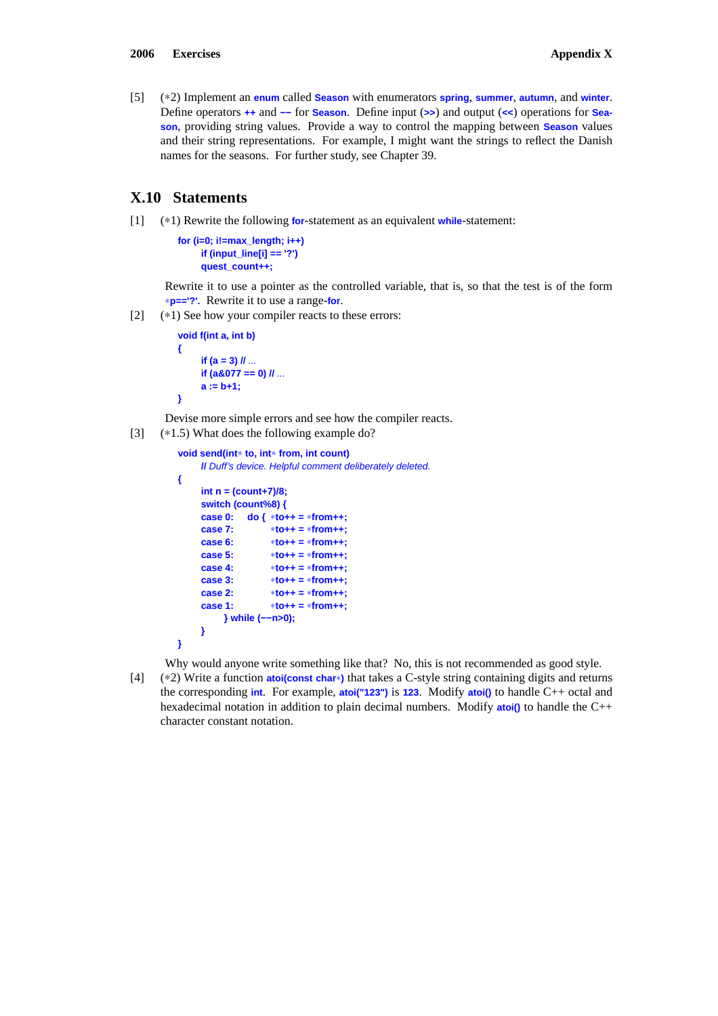[5] (∗2) Implement an **enum** called **Season** with enumerators **spring**, **summer**, **autumn**, and **winter**. Define operators **++** and **−−** for **Season**. Define input (**>>**) and output (**<<**) operations for **Season**, providing string values. Provide a way to control the mapping between **Season** values and their string representations. For example, I might want the strings to reflect the Danish names for the seasons. For further study, see Chapter 39.

#### **X.10 Statements**

[1] (∗1) Rewrite the following **for**-statement as an equivalent **while**-statement:

```
for (i=0; i!=max_length; i++)
     if (input_line[i] == '?')
     quest_count++;
```
Rewrite it to use a pointer as the controlled variable, that is, so that the test is of the form ∗**p=='?'.** Rewrite it to use a range-**for**.

[2] (\*1) See how your compiler reacts to these errors:

```
void f(int a, int b)
{
      if (a = 3) // ...
      if (a&077 == 0) // ...
      a := b+1;
}
```
Devise more simple errors and see how the compiler reacts.

[3] (\*1.5) What does the following example do?

```
void send(int∗ to, int∗ from, int count)
    // Duff 's device. Helpful comment deliberately deleted.
{
    int n = (count+7)/8;
    switch (count%8) {
    case 0: do { ∗to++ = ∗from++;
    case 7: ∗to++ = ∗from++;
    case 6: ∗to++ = ∗from++;
    case 5: ∗to++ = ∗from++;
    case 4: ∗to++ = ∗from++;
    case 3: ∗to++ = ∗from++;
    case 2: ∗to++ = ∗from++;
    case 1: ∗to++ = ∗from++;
        } while (−−n>0);
    }
}
```
Why would anyone write something like that? No, this is not recommended as good style.

[4] (∗2) Write a function **atoi(const char**∗**)** that takes a C-style string containing digits and returns the corresponding **int**. For example, **atoi("123")** is **123**. Modify **atoi()** to handle C++ octal and hexadecimal notation in addition to plain decimal numbers. Modify **atoi()** to handle the C++ character constant notation.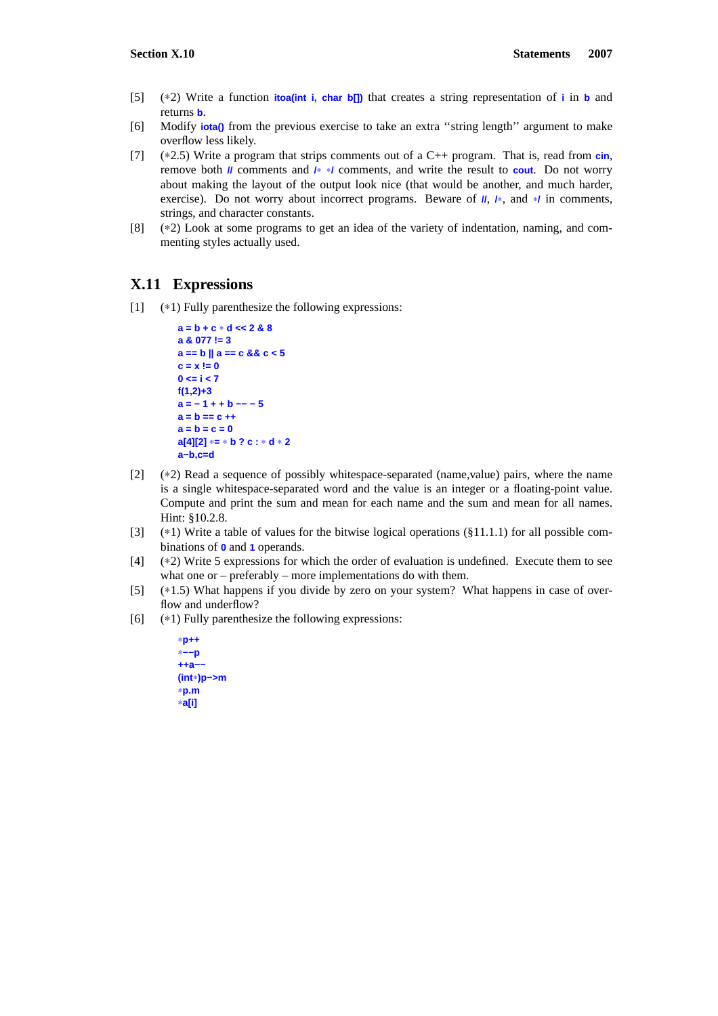- [5] (∗2) Write a function **itoa(int i, char b[])** that creates a string representation of **i** in **b** and returns **b**.
- [6] Modify **iota()** from the previous exercise to take an extra ''string length'' argument to make overflow less likely.
- [7] (∗2.5) Write a program that strips comments out of a C++ program. That is, read from **cin**, remove both **//** comments and **/**∗ ∗**/** comments, and write the result to **cout**. Do not worry about making the layout of the output look nice (that would be another, and much harder, exercise). Do not worry about incorrect programs. Beware of **//**, **/**∗, and ∗**/** in comments, strings, and character constants.
- [8] (∗2) Look at some programs to get an idea of the variety of indentation, naming, and commenting styles actually used.

#### **X.11 Expressions**

[1] (\*1) Fully parenthesize the following expressions:

```
a=b+c ∗ d << 2 & 8
a & 077 != 3
a == b || a == c && c < 5
c = x != 0
0 < i < 7f(1,2)+3
a = − 1 + + b −− − 5
a = b == c ++
a=b=c=0
a[4][2] ∗= ∗ b?c: ∗ d ∗ 2
a−b,c=d
```
- [2] (∗2) Read a sequence of possibly whitespace-separated (name,value) pairs, where the name is a single whitespace-separated word and the value is an integer or a floating-point value. Compute and print the sum and mean for each name and the sum and mean for all names. Hint: §10.2.8.
- [3] (\*1) Write a table of values for the bitwise logical operations (§11.1.1) for all possible combinations of **0** and **1** operands.
- [4] (∗2) Write 5 expressions for which the order of evaluation is undefined. Execute them to see what one or – preferably – more implementations do with them.
- [5] (\*1.5) What happens if you divide by zero on your system? What happens in case of overflow and underflow?
- [6] (∗1) Fully parenthesize the following expressions:
	- ∗**p++** ∗**−−p ++a−− (int**∗**)p−>m** ∗**p.m** ∗**a[i]**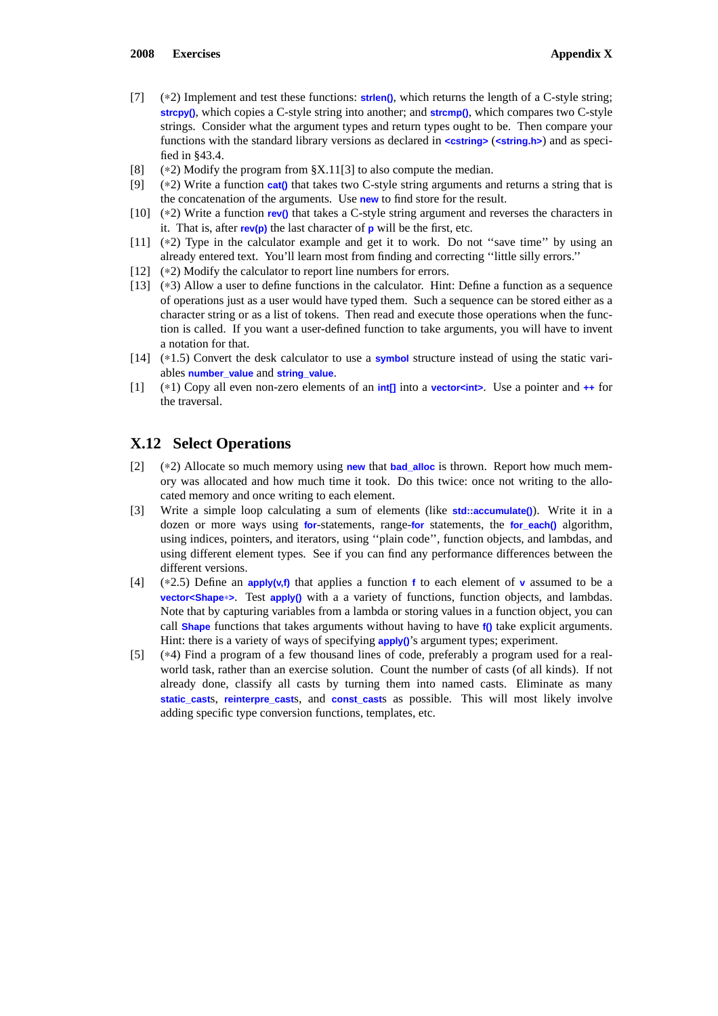- [7] (∗2) Implement and test these functions: **strlen()**, which returns the length of a C-style string; **strcpy()**, which copies a C-style string into another; and **strcmp()**, which compares two C-style strings. Consider what the argument types and return types ought to be. Then compare your functions with the standard library versions as declared in **<cstring>** (**<string.h>**) and as specified in §43.4.
- [8] (\*2) Modify the program from §X.11[3] to also compute the median.
- [9] (∗2) Write a function **cat()** that takes two C-style string arguments and returns a string that is the concatenation of the arguments. Use **new** to find store for the result.
- [10] (∗2) Write a function **rev()** that takes a C-style string argument and reverses the characters in it. That is, after **rev(p)** the last character of **p** will be the first, etc.
- [11] (\*2) Type in the calculator example and get it to work. Do not "save time" by using an already entered text. You'll learn most from finding and correcting ''little silly errors.''
- [12] (\*2) Modify the calculator to report line numbers for errors.
- [13] (\*3) Allow a user to define functions in the calculator. Hint: Define a function as a sequence of operations just as a user would have typed them. Such a sequence can be stored either as a character string or as a list of tokens. Then read and execute those operations when the function is called. If you want a user-defined function to take arguments, you will have to invent a notation for that.
- [14] (∗1.5) Convert the desk calculator to use a **symbol** structure instead of using the static variables **number\_value** and **string\_value**.
- [1] (∗1) Copy all even non-zero elements of an **int[]** into a **vector<int>**. Use a pointer and **++** for the traversal.

#### **X.12 Select Operations**

- [2] (∗2) Allocate so much memory using **new** that **bad\_alloc** is thrown. Report how much memory was allocated and how much time it took. Do this twice: once not writing to the allocated memory and once writing to each element.
- [3] Write a simple loop calculating a sum of elements (like **std::accumulate()**). Write it in a dozen or more ways using **for**-statements, range-**for** statements, the **for\_each()** algorithm, using indices, pointers, and iterators, using ''plain code'', function objects, and lambdas, and using different element types. See if you can find any performance differences between the different versions.
- [4] (∗2.5) Define an **apply(v,f)** that applies a function **f** to each element of **v** assumed to be a **vector<Shape**∗**>**. Test **apply()** with a a variety of functions, function objects, and lambdas. Note that by capturing variables from a lambda or storing values in a function object, you can call **Shape** functions that takes arguments without having to have **f()** take explicit arguments. Hint: there is a variety of ways of specifying **apply()**'s argument types; experiment.
- [5] (∗4) Find a program of a few thousand lines of code, preferably a program used for a realworld task, rather than an exercise solution. Count the number of casts (of all kinds). If not already done, classify all casts by turning them into named casts. Eliminate as many **static\_cast**s, **reinterpre\_cast**s, and **const\_cast**s as possible. This will most likely involve adding specific type conversion functions, templates, etc.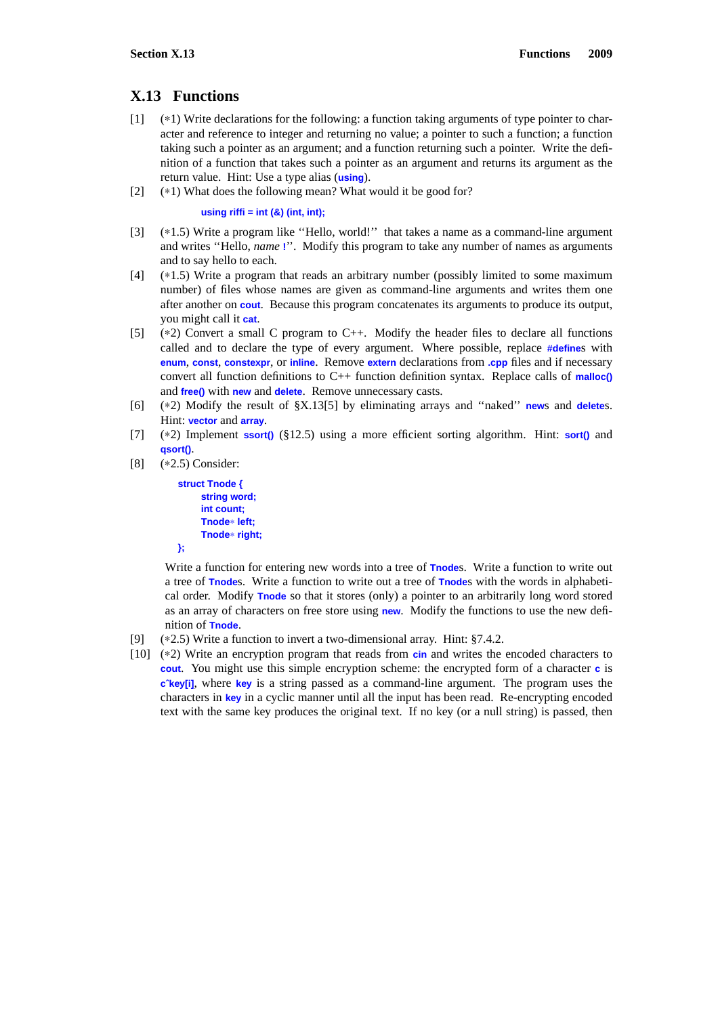### **X.13 Functions**

- [1] (∗1) Write declarations for the following: a function taking arguments of type pointer to character and reference to integer and returning no value; a pointer to such a function; a function taking such a pointer as an argument; and a function returning such a pointer. Write the definition of a function that takes such a pointer as an argument and returns its argument as the return value. Hint: Use a type alias (**using**).
- [2] (\*1) What does the following mean? What would it be good for?

#### **using riffi = int (&) (int, int);**

- [3] (\*1.5) Write a program like "Hello, world!" that takes a name as a command-line argument and writes ''Hello, *name* **!**''. Modify this program to take any number of names as arguments and to say hello to each.
- [4] (∗1.5) Write a program that reads an arbitrary number (possibly limited to some maximum number) of files whose names are given as command-line arguments and writes them one after another on **cout**. Because this program concatenates its arguments to produce its output, you might call it **cat**.
- [5] (∗2) Convert a small C program to C++. Modify the header files to declare all functions called and to declare the type of every argument. Where possible, replace **#define**s with **enum**, **const**, **constexpr**, or **inline**. Remove **extern** declarations from **.cpp** files and if necessary convert all function definitions to C++ function definition syntax. Replace calls of **malloc()** and **free()** with **new** and **delete**. Remove unnecessary casts.
- [6] (∗2) Modify the result of §X.13[5] by eliminating arrays and ''naked'' **new**s and **delete**s. Hint: **vector** and **array**.
- [7] (∗2) Implement **ssor t()** (§12.5) using a more efficient sorting algorithm. Hint: **sor t()** and **qsor t()**.
- [8] (\*2.5) Consider:

```
struct Tnode {
     string word;
     int count;
     Tnode∗ left;
     Tnode∗ right;
```

```
};
```
Write a function for entering new words into a tree of **Tnode**s. Write a function to write out a tree of **Tnode**s. Write a function to write out a tree of **Tnode**s with the words in alphabetical order. Modify **Tnode** so that it stores (only) a pointer to an arbitrarily long word stored as an array of characters on free store using **new**. Modify the functions to use the new definition of **Tnode**.

- [9] (\*2.5) Write a function to invert a two-dimensional array. Hint: §7.4.2.
- [10] (∗2) Write an encryption program that reads from **cin** and writes the encoded characters to **cout**. You might use this simple encryption scheme: the encrypted form of a character **c** is **cˆkey[i]**, where **key** is a string passed as a command-line argument. The program uses the characters in **key** in a cyclic manner until all the input has been read. Re-encrypting encoded text with the same key produces the original text. If no key (or a null string) is passed, then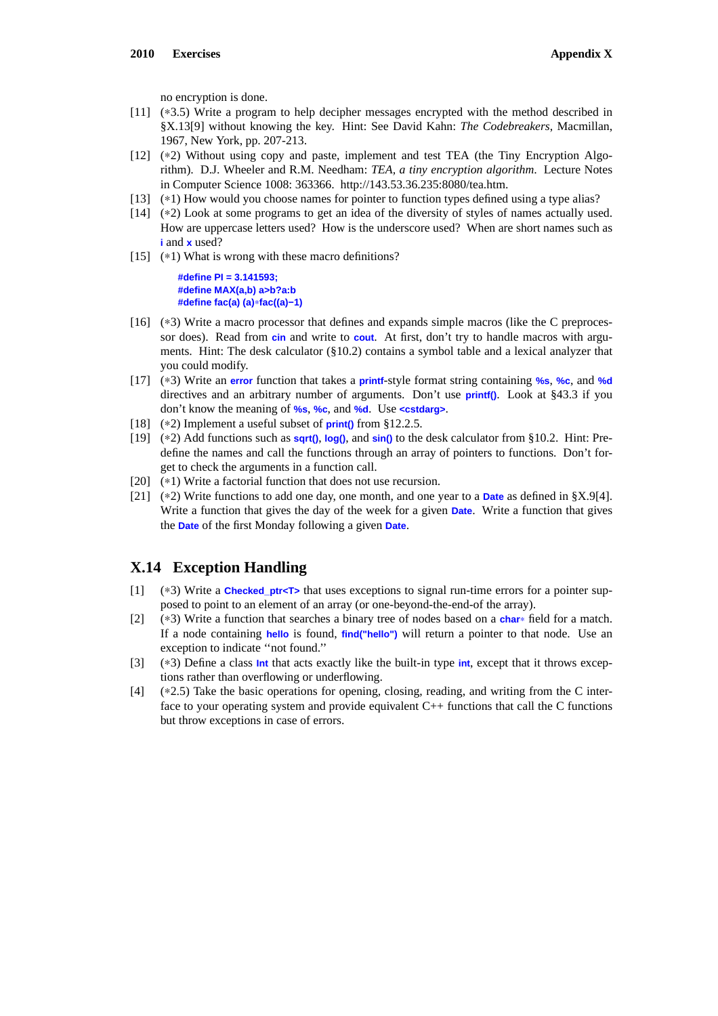no encryption is done.

- [11] (∗3.5) Write a program to help decipher messages encrypted with the method described in §X.13[9] without knowing the key. Hint: See David Kahn: *The Codebreakers*, Macmillan, 1967, New York, pp. 207-213.
- [12] (∗2) Without using copy and paste, implement and test TEA (the Tiny Encryption Algorithm). D.J. Wheeler and R.M. Needham: *TEA, a tiny encryption algorithm*. Lecture Notes in Computer Science 1008: 363366. http://143.53.36.235:8080/tea.htm.
- [13] (\*1) How would you choose names for pointer to function types defined using a type alias?
- [14] (\*2) Look at some programs to get an idea of the diversity of styles of names actually used. How are uppercase letters used? How is the underscore used? When are short names such as **i** and **x** used?
- [15] (\*1) What is wrong with these macro definitions?

**#define PI = 3.141593; #define MAX(a,b) a>b?a:b #define fac(a) (a)**∗**fac((a)−1)**

- [16] (\*3) Write a macro processor that defines and expands simple macros (like the C preprocessor does). Read from **cin** and write to **cout**. At first, don't try to handle macros with arguments. Hint: The desk calculator (§10.2) contains a symbol table and a lexical analyzer that you could modify.
- [17] (∗3) Write an **error** function that takes a **printf**-style format string containing **%s**, **%c**, and **%d** directives and an arbitrary number of arguments. Don't use **printf()**. Look at §43.3 if you don't know the meaning of **%s**, **%c**, and **%d**. Use **<cstdarg>**.
- [18] (∗2) Implement a useful subset of **print()** from §12.2.5.
- [19] (\*2) Add functions such as **sqrt()**,  $log($ ), and  $sin($ ) to the desk calculator from §10.2. Hint: Predefine the names and call the functions through an array of pointers to functions. Don't forget to check the arguments in a function call.
- [20] (\*1) Write a factorial function that does not use recursion.
- [21] (∗2) Write functions to add one day, one month, and one year to a **Date** as defined in §X.9[4]. Write a function that gives the day of the week for a given **Date**. Write a function that gives the **Date** of the first Monday following a given **Date**.

#### **X.14 Exception Handling**

- [1] (∗3) Write a **Checked\_ptr<T>** that uses exceptions to signal run-time errors for a pointer supposed to point to an element of an array (or one-beyond-the-end-of the array).
- [2] (∗3) Write a function that searches a binary tree of nodes based on a **char**∗ field for a match. If a node containing **hello** is found, **find("hello")** will return a pointer to that node. Use an exception to indicate ''not found.''
- [3] (∗3) Define a class **Int** that acts exactly like the built-in type **int**, except that it throws exceptions rather than overflowing or underflowing.
- [4] (\*2.5) Take the basic operations for opening, closing, reading, and writing from the C interface to your operating system and provide equivalent  $C++$  functions that call the C functions but throw exceptions in case of errors.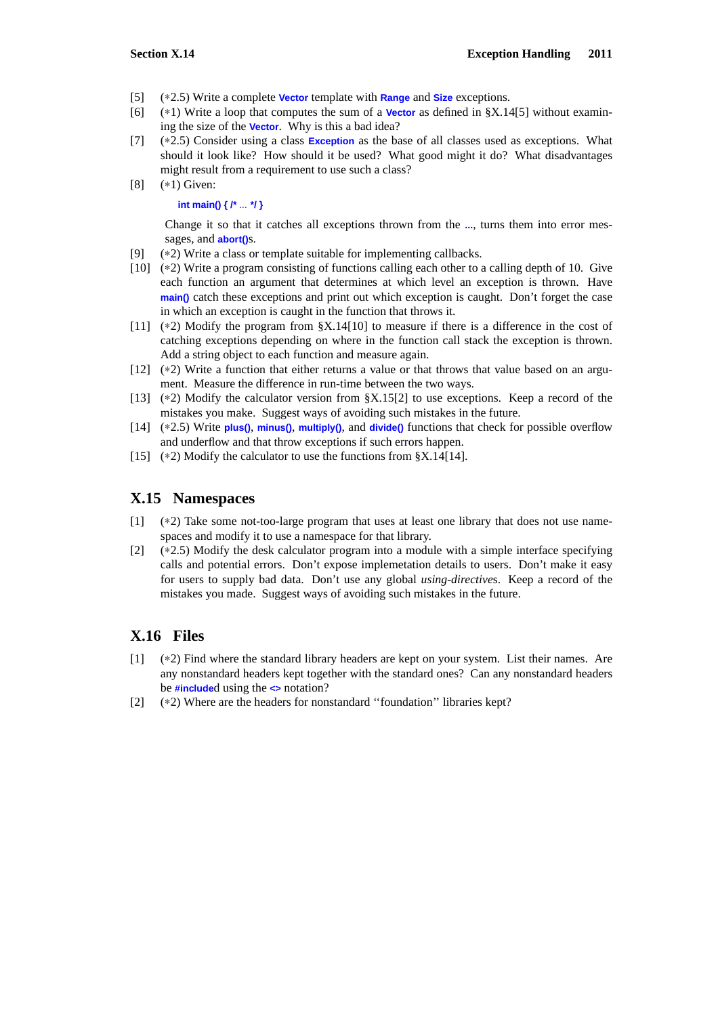- [5] (\*2.5) Write a complete **Vector** template with **Range** and **Size** exceptions.
- [6] (∗1) Write a loop that computes the sum of a **Vector** as defined in §X.14[5] without examining the size of the **Vector**. Why is this a bad idea?
- [7] (∗2.5) Consider using a class **Exception** as the base of all classes used as exceptions. What should it look like? How should it be used? What good might it do? What disadvantages might result from a requirement to use such a class?
- [8] (\*1) Given:

**int main() { /\*** *...* **\*/ }**

Change it so that it catches all exceptions thrown from the **...**, turns them into error messages, and **abort**()s.

- [9] (\*2) Write a class or template suitable for implementing callbacks.
- [10] (∗2) Write a program consisting of functions calling each other to a calling depth of 10. Give each function an argument that determines at which level an exception is thrown. Have **main()** catch these exceptions and print out which exception is caught. Don't forget the case in which an exception is caught in the function that throws it.
- [11] (∗2) Modify the program from §X.14[10] to measure if there is a difference in the cost of catching exceptions depending on where in the function call stack the exception is thrown. Add a string object to each function and measure again.
- [12] (\*2) Write a function that either returns a value or that throws that value based on an argument. Measure the difference in run-time between the two ways.
- [13] (∗2) Modify the calculator version from §X.15[2] to use exceptions. Keep a record of the mistakes you make. Suggest ways of avoiding such mistakes in the future.
- [14] (∗2.5) Write **plus()**, **minus()**, **multiply()**, and **divide()** functions that check for possible overflow and underflow and that throw exceptions if such errors happen.
- [15] (\*2) Modify the calculator to use the functions from §X.14[14].

#### **X.15 Namespaces**

- [1] (∗2) Take some not-too-large program that uses at least one library that does not use namespaces and modify it to use a namespace for that library.
- [2] (∗2.5) Modify the desk calculator program into a module with a simple interface specifying calls and potential errors. Don't expose implemetation details to users. Don't make it easy for users to supply bad data. Don't use any global *using-directive*s. Keep a record of the mistakes you made. Suggest ways of avoiding such mistakes in the future.

## **X.16 Files**

- [1] (∗2) Find where the standard library headers are kept on your system. List their names. Are any nonstandard headers kept together with the standard ones? Can any nonstandard headers be **#include**d using the **<>** notation?
- [2] (\*2) Where are the headers for nonstandard "foundation" libraries kept?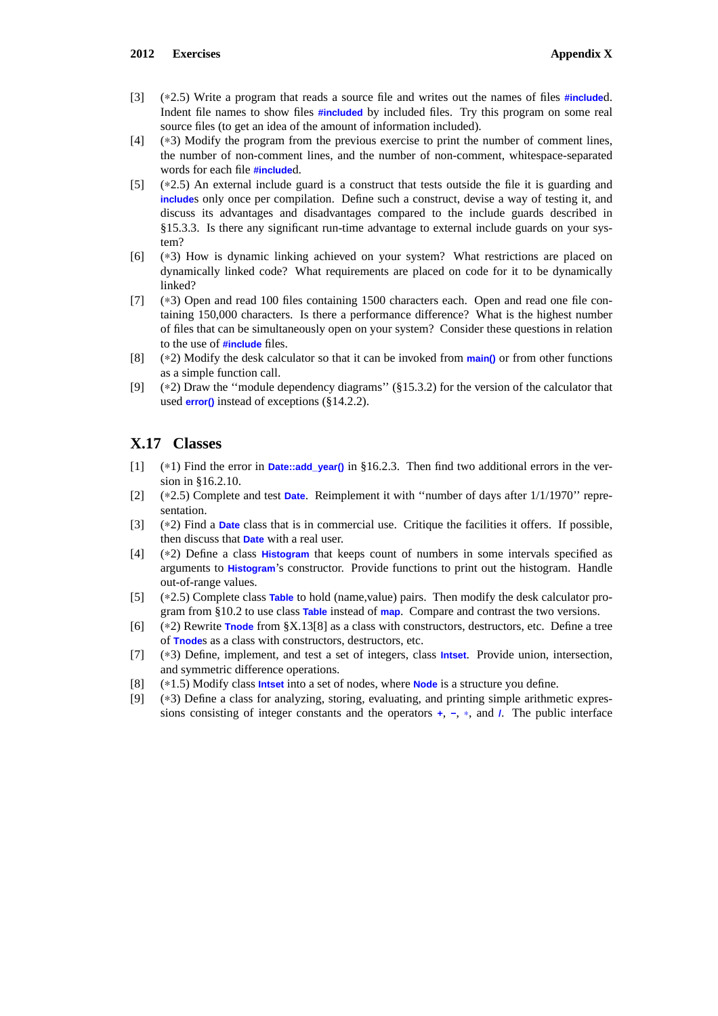- [3] (∗2.5) Write a program that reads a source file and writes out the names of files **#include**d. Indent file names to show files **#included** by included files. Try this program on some real source files (to get an idea of the amount of information included).
- [4] (∗3) Modify the program from the previous exercise to print the number of comment lines, the number of non-comment lines, and the number of non-comment, whitespace-separated words for each file **#include**d.
- [5] (∗2.5) An external include guard is a construct that tests outside the file it is guarding and **include**s only once per compilation. Define such a construct, devise a way of testing it, and discuss its advantages and disadvantages compared to the include guards described in §15.3.3. Is there any significant run-time advantage to external include guards on your system?
- [6] (∗3) How is dynamic linking achieved on your system? What restrictions are placed on dynamically linked code? What requirements are placed on code for it to be dynamically linked?
- [7] (\*3) Open and read 100 files containing 1500 characters each. Open and read one file containing 150,000 characters. Is there a performance difference? What is the highest number of files that can be simultaneously open on your system? Consider these questions in relation to the use of **#include** files.
- [8] (∗2) Modify the desk calculator so that it can be invoked from **main()** or from other functions as a simple function call.
- [9] (∗2) Draw the ''module dependency diagrams'' (§15.3.2) for the version of the calculator that used **error()** instead of exceptions (§14.2.2).

## **X.17 Classes**

- [1] (∗1) Find the error in **Date::add\_year()** in §16.2.3. Then find two additional errors in the version in §16.2.10.
- [2] (∗2.5) Complete and test **Date**. Reimplement it with ''number of days after 1/1/1970'' representation.
- [3] (∗2) Find a **Date** class that is in commercial use. Critique the facilities it offers. If possible, then discuss that **Date** with a real user.
- [4] (∗2) Define a class **Histogram** that keeps count of numbers in some intervals specified as arguments to **Histogram**'s constructor. Provide functions to print out the histogram. Handle out-of-range values.
- [5] (∗2.5) Complete class **Table** to hold (name,value) pairs. Then modify the desk calculator program from §10.2 to use class **Table** instead of **map**. Compare and contrast the two versions.
- [6] (∗2) Rewrite **Tnode** from §X.13[8] as a class with constructors, destructors, etc. Define a tree of **Tnode**s as a class with constructors, destructors, etc.
- [7] (∗3) Define, implement, and test a set of integers, class **Intset**. Provide union, intersection, and symmetric difference operations.
- [8] (∗1.5) Modify class **Intset** into a set of nodes, where **Node** is a structure you define.
- [9] (∗3) Define a class for analyzing, storing, evaluating, and printing simple arithmetic expressions consisting of integer constants and the operators **+**, **−**, ∗, and **/**. The public interface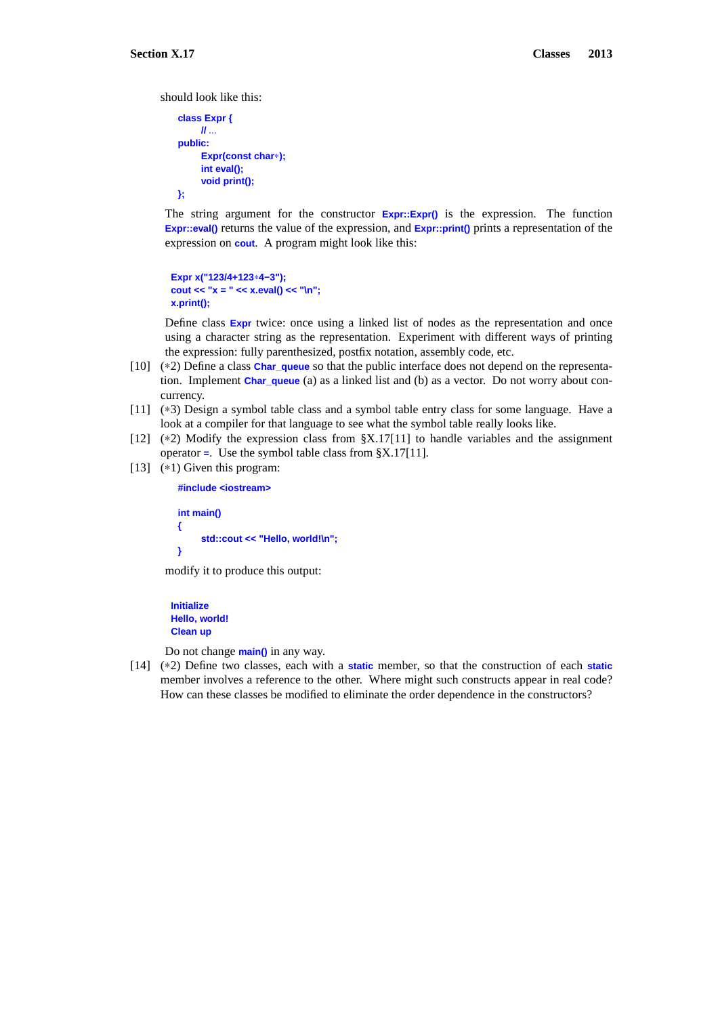should look like this:

```
class Expr {
     // ...
public:
     Expr(const char∗);
     int eval();
     void print();
};
```
The string argument for the constructor **Expr::Expr()** is the expression. The function **Expr::eval()** returns the value of the expression, and **Expr::print()** prints a representation of the expression on **cout**. A program might look like this:

```
Expr x("123/4+123∗4−3");
cout << "x = " << x.eval() << "\n";
x.print();
```
Define class **Expr** twice: once using a linked list of nodes as the representation and once using a character string as the representation. Experiment with different ways of printing the expression: fully parenthesized, postfix notation, assembly code, etc.

- [10] (∗2) Define a class **Char\_queue** so that the public interface does not depend on the representation. Implement **Char\_queue** (a) as a linked list and (b) as a vector. Do not worry about concurrency.
- [11] (∗3) Design a symbol table class and a symbol table entry class for some language. Have a look at a compiler for that language to see what the symbol table really looks like.
- [12] (∗2) Modify the expression class from §X.17[11] to handle variables and the assignment operator **=**. Use the symbol table class from §X.17[11].
- [13] (\*1) Given this program:

**#include <iostream>**

```
int main()
{
     std::cout << "Hello, world!\n";
}
```
modify it to produce this output:

**Initialize Hello, world! Clean up**

Do not change **main()** in any way.

[14] (∗2) Define two classes, each with a **static** member, so that the construction of each **static** member involves a reference to the other. Where might such constructs appear in real code? How can these classes be modified to eliminate the order dependence in the constructors?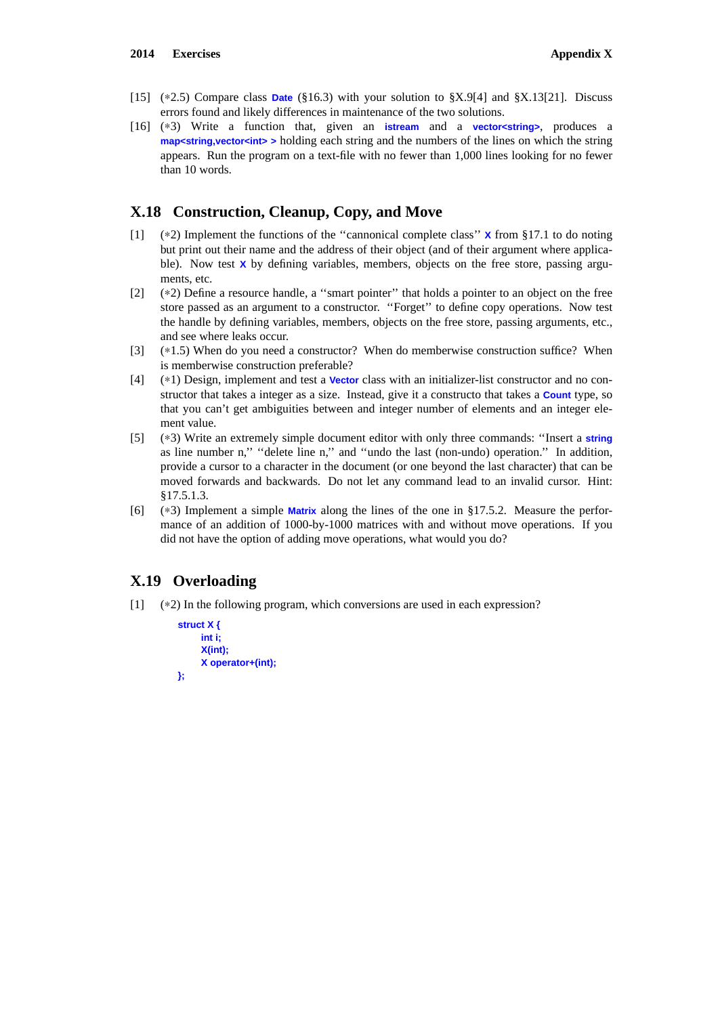- [15] (∗2.5) Compare class **Date** (§16.3) with your solution to §X.9[4] and §X.13[21]. Discuss errors found and likely differences in maintenance of the two solutions.
- [16] (∗3) Write a function that, given an **istream** and a **vector<string>**, produces a **map<string,vector<int> >** holding each string and the numbers of the lines on which the string appears. Run the program on a text-file with no fewer than 1,000 lines looking for no fewer than 10 words.

#### **X.18 Construction, Cleanup, Copy, and Move**

- [1] (∗2) Implement the functions of the ''cannonical complete class'' **X** from §17.1 to do noting but print out their name and the address of their object (and of their argument where applicable). Now test **X** by defining variables, members, objects on the free store, passing arguments, etc.
- [2] (∗2) Define a resource handle, a ''smart pointer'' that holds a pointer to an object on the free store passed as an argument to a constructor. ''Forget'' to define copy operations. Now test the handle by defining variables, members, objects on the free store, passing arguments, etc., and see where leaks occur.
- [3] (∗1.5) When do you need a constructor? When do memberwise construction suffice? When is memberwise construction preferable?
- [4] (∗1) Design, implement and test a **Vector** class with an initializer-list constructor and no constructor that takes a integer as a size. Instead, give it a constructo that takes a **Count** type, so that you can't get ambiguities between and integer number of elements and an integer element value.
- [5] (∗3) Write an extremely simple document editor with only three commands: ''Insert a **string** as line number n," "delete line n," and "undo the last (non-undo) operation." In addition, provide a cursor to a character in the document (or one beyond the last character) that can be moved forwards and backwards. Do not let any command lead to an invalid cursor. Hint: §17.5.1.3.
- [6] (∗3) Implement a simple **Matrix** along the lines of the one in §17.5.2. Measure the performance of an addition of 1000-by-1000 matrices with and without move operations. If you did not have the option of adding move operations, what would you do?

#### **X.19 Overloading**

[1] (\*2) In the following program, which conversions are used in each expression?

```
struct X {
     int i;
     X(int);
     X operator+(int);
};
```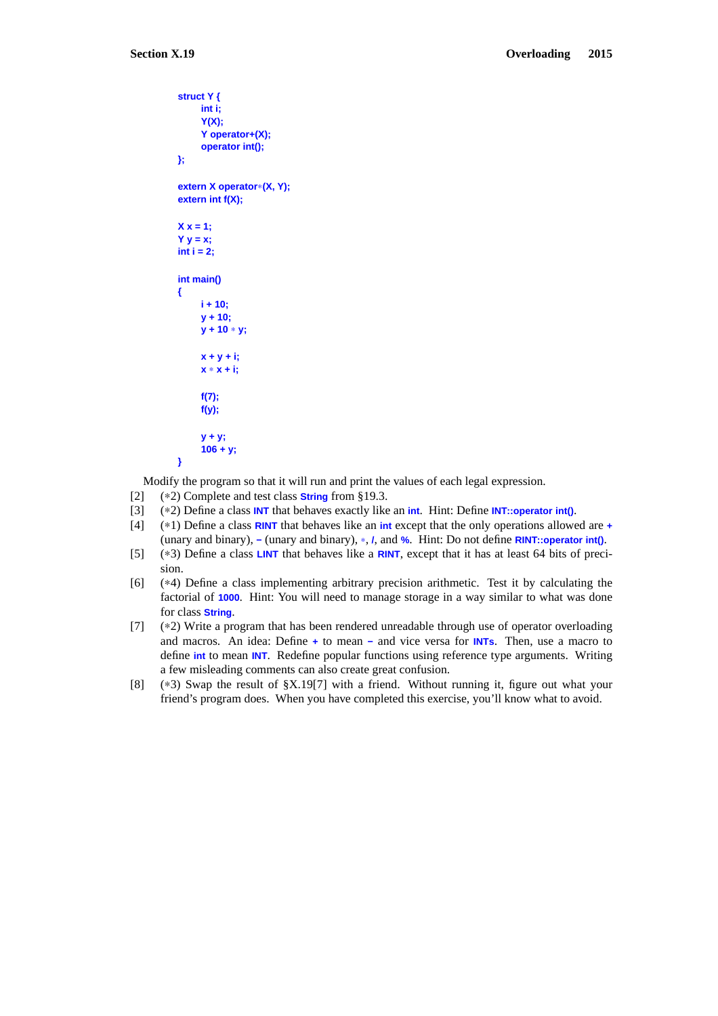```
struct Y {
     int i;
     Y(X);
     Y operator+(X);
     operator int();
};
extern X operator∗(X, Y);
extern int f(X);
X x = 1;
Y y = x;
int i = 2;
int main()
{
     i + 10;
     y + 10;
     y + 10 ∗ y;
     x + y + i;
     x ∗ x + i;
     f(7);
     f(y);
     y + y;
     106 + y;
}
```
Modify the program so that it will run and print the values of each legal expression.

- [2] (∗2) Complete and test class **String** from §19.3.
- [3] (∗2) Define a class **INT** that behaves exactly like an **int**. Hint: Define **INT::operator int()**.
- [4] (∗1) Define a class **RINT** that behaves like an **int** except that the only operations allowed are **+** (unary and binary), **−** (unary and binary), ∗, **/**, and **%**. Hint: Do not define **RINT::operator int()**.
- [5] (∗3) Define a class **LINT** that behaves like a **RINT**, except that it has at least 64 bits of precision.
- [6] (∗4) Define a class implementing arbitrary precision arithmetic. Test it by calculating the factorial of **1000**. Hint: You will need to manage storage in a way similar to what was done for class **String**.
- [7] (∗2) Write a program that has been rendered unreadable through use of operator overloading and macros. An idea: Define **+** to mean **−** and vice versa for **INTs**. Then, use a macro to define **int** to mean **INT**. Redefine popular functions using reference type arguments. Writing a few misleading comments can also create great confusion.
- [8] (∗3) Swap the result of §X.19[7] with a friend. Without running it, figure out what your friend's program does. When you have completed this exercise, you'll know what to avoid.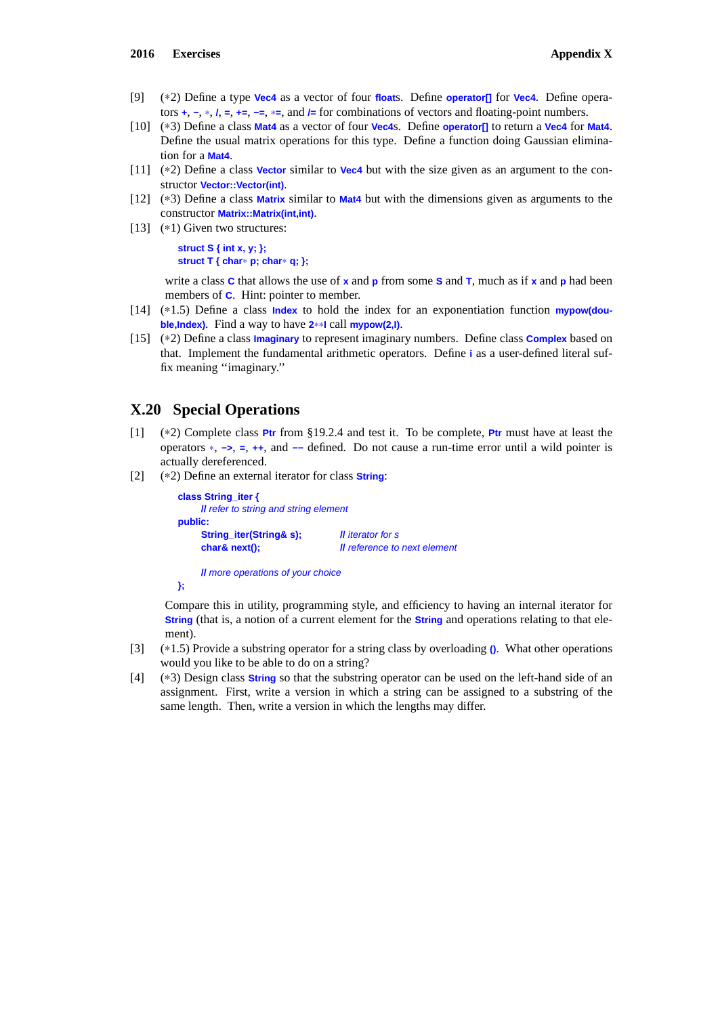- [9] (∗2) Define a type **Vec4** as a vector of four **float**s. Define **operator[]** for **Vec4**. Define operators **+**, **−**, ∗, **/**, **=**, **+=**, **−=**, ∗**=**, and **/=** for combinations of vectors and floating-point numbers.
- [10] (∗3) Define a class **Mat4** as a vector of four **Vec4**s. Define **operator[]** to return a **Vec4** for **Mat4**. Define the usual matrix operations for this type. Define a function doing Gaussian elimination for a **Mat4**.
- [11] (∗2) Define a class **Vector** similar to **Vec4** but with the size given as an argument to the constructor **Vector::Vector(int)**.
- [12] (∗3) Define a class **Matrix** similar to **Mat4** but with the dimensions given as arguments to the constructor **Matrix::Matrix(int,int)**.
- [13] (\*1) Given two structures:

```
struct S { int x, y; };
struct T { char∗ p; char∗ q; };
```
write a class **C** that allows the use of **x** and **p** from some **S** and **T**, much as if **x** and **p** had been members of **C**. Hint: pointer to member.

- [14] (∗1.5) Define a class **Index** to hold the index for an exponentiation function **mypow(double,Index)**. Find a way to have **2**∗∗**I** call **mypow(2,I)**.
- [15] (\*2) Define a class **Imaginary** to represent imaginary numbers. Define class **Complex** based on that. Implement the fundamental arithmetic operators. Define **i** as a user-defined literal suffix meaning ''imaginary.''

#### **X.20 Special Operations**

- [1] (∗2) Complete class **Ptr** from §19.2.4 and test it. To be complete, **Ptr** must have at least the operators ∗, **−>**, **=**, **++**, and **−−** defined. Do not cause a run-time error until a wild pointer is actually dereferenced.
- [2] (∗2) Define an external iterator for class **String**:

```
class String_iter {
    // refer to string and string element
public:
    String_iter(String& s); // iterator for s
    char& next(); // reference to next element
```
**//** *more operations of your choice*

**};**

Compare this in utility, programming style, and efficiency to having an internal iterator for **String** (that is, a notion of a current element for the **String** and operations relating to that element).

- [3] (∗1.5) Provide a substring operator for a string class by overloading **()**. What other operations would you like to be able to do on a string?
- [4] (∗3) Design class **String** so that the substring operator can be used on the left-hand side of an assignment. First, write a version in which a string can be assigned to a substring of the same length. Then, write a version in which the lengths may differ.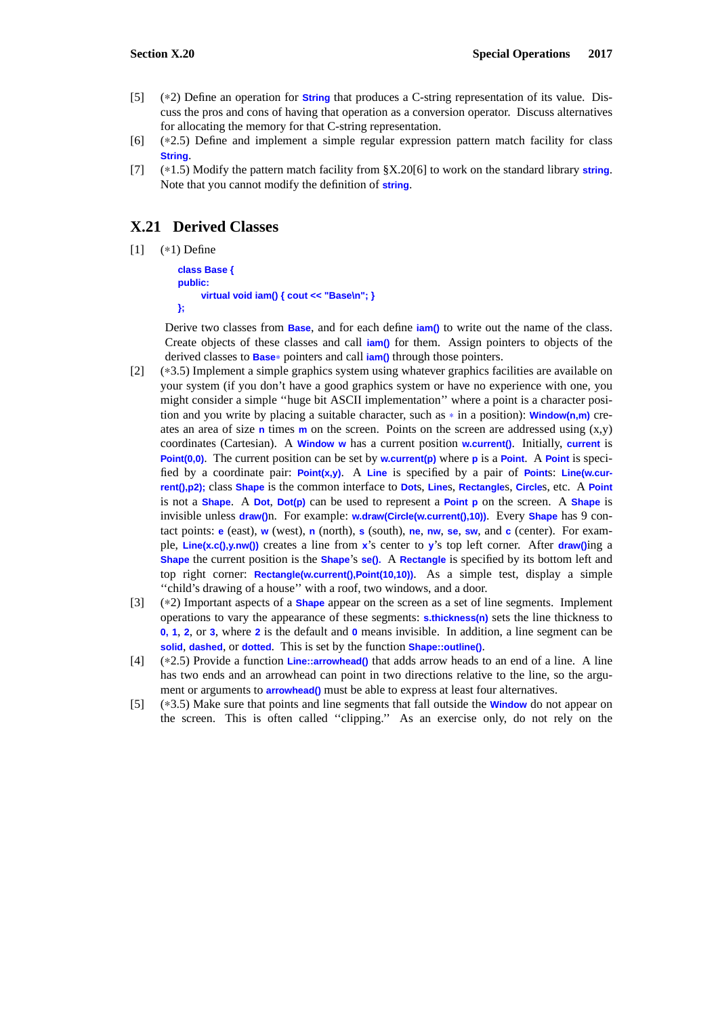- [5] (∗2) Define an operation for **String** that produces a C-string representation of its value. Discuss the pros and cons of having that operation as a conversion operator. Discuss alternatives for allocating the memory for that C-string representation.
- [6] (∗2.5) Define and implement a simple regular expression pattern match facility for class **String**.
- [7] (∗1.5) Modify the pattern match facility from §X.20[6] to work on the standard library **string**. Note that you cannot modify the definition of **string**.

#### **X.21 Derived Classes**

```
[1] (*1) Define
```

```
class Base {
public:
     vir tual void iam() { cout << "Base\n"; }
};
```
Derive two classes from **Base**, and for each define **iam()** to write out the name of the class. Create objects of these classes and call **iam()** for them. Assign pointers to objects of the derived classes to **Base**∗ pointers and call **iam()** through those pointers.

- [2] (∗3.5) Implement a simple graphics system using whatever graphics facilities are available on your system (if you don't have a good graphics system or have no experience with one, you might consider a simple ''huge bit ASCII implementation'' where a point is a character position and you write by placing a suitable character, such as ∗ in a position): **Window(n,m)** creates an area of size  $n$  times  $m$  on the screen. Points on the screen are addressed using  $(x,y)$ coordinates (Cartesian). A **Window w** has a current position **w.current()**. Initially, **current** is **Point(0,0)**. The current position can be set by **w.current(p)** where **p** is a **Point**. A **Point** is specified by a coordinate pair: **Point(x,y)**. A **Line** is specified by a pair of **Point**s: **Line(w.current(),p2);** class **Shape** is the common interface to **Dot**s, **Line**s, **Rectangle**s, **Circle**s, etc. A **Point** is not a **Shape**. A **Dot**, **Dot(p)** can be used to represent a **Point p** on the screen. A **Shape** is invisible unless **draw()**n. For example: **w.draw(Circle(w.current(),10))**. Every **Shape** has 9 contact points: **e** (east), **w** (west), **n** (north), **s** (south), **ne**, **nw**, **se**, **sw**, and **c** (center). For example, **Line(x.c(),y.nw())** creates a line from **x**'s center to **y**'s top left corner. After **draw()**ing a **Shape** the current position is the **Shape**'s **se().** A **Rectangle** is specified by its bottom left and top right corner: **Rectangle(w.current(),Point(10,10))**. As a simple test, display a simple ''child's drawing of a house'' with a roof, two windows, and a door.
- [3] (∗2) Important aspects of a **Shape** appear on the screen as a set of line segments. Implement operations to vary the appearance of these segments: **s.thickness(n)** sets the line thickness to **0, 1**, **2**, or **3**, where **2** is the default and **0** means invisible. In addition, a line segment can be **solid**, **dashed**, or **dotted**. This is set by the function **Shape::outline()**.
- [4] (∗2.5) Provide a function **Line::arrowhead()** that adds arrow heads to an end of a line. A line has two ends and an arrowhead can point in two directions relative to the line, so the argument or arguments to **arrowhead**() must be able to express at least four alternatives.
- [5] (∗3.5) Make sure that points and line segments that fall outside the **Window** do not appear on the screen. This is often called ''clipping.'' As an exercise only, do not rely on the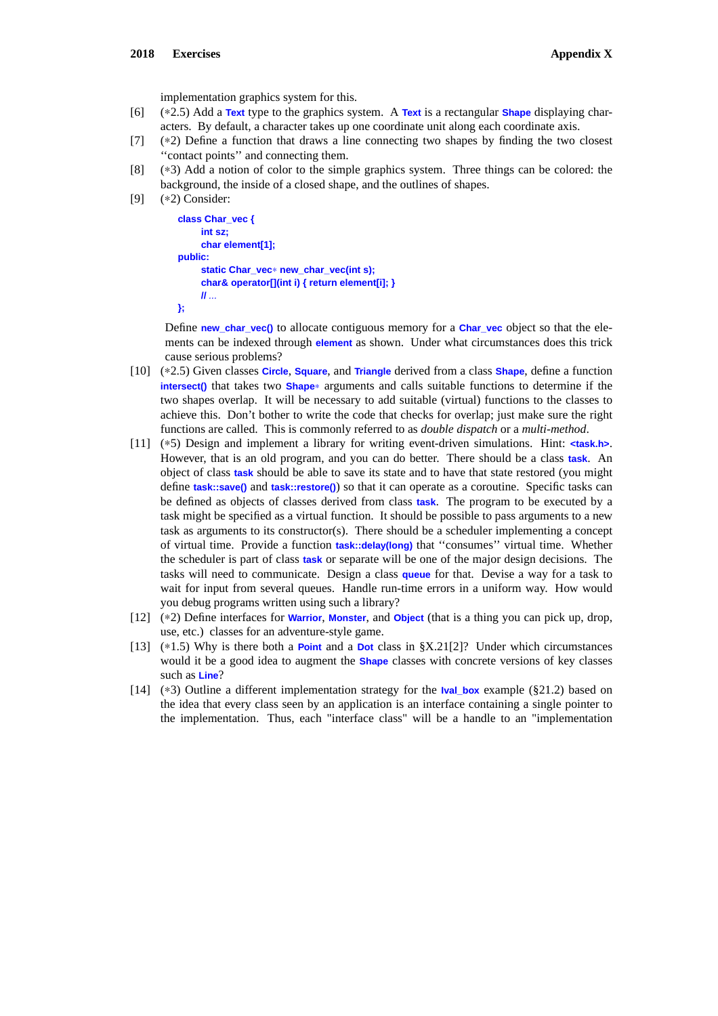implementation graphics system for this.

- [6] (∗2.5) Add a **Te xt** type to the graphics system. A **Te xt** is a rectangular **Shape** displaying characters. By default, a character takes up one coordinate unit along each coordinate axis.
- [7] (∗2) Define a function that draws a line connecting two shapes by finding the two closest ''contact points'' and connecting them.
- [8] (∗3) Add a notion of color to the simple graphics system. Three things can be colored: the background, the inside of a closed shape, and the outlines of shapes.
- [9] (\*2) Consider:

```
class Char_vec {
     int sz;
     char element[1];
public:
     static Char_vec∗ new_char_vec(int s);
     char& operator[](int i) { return element[i]; }
     // ...
};
```
Define **new\_char\_vec()** to allocate contiguous memory for a **Char\_vec** object so that the elements can be indexed through **element** as shown. Under what circumstances does this trick cause serious problems?

- [10] (∗2.5) Given classes **Circle**, **Square**, and **Triangle** derived from a class **Shape**, define a function **intersect()** that takes two **Shape**∗ arguments and calls suitable functions to determine if the two shapes overlap. It will be necessary to add suitable (virtual) functions to the classes to achieve this. Don't bother to write the code that checks for overlap; just make sure the right functions are called. This is commonly referred to as *double dispatch* or a *multi-method*.
- [11] (∗5) Design and implement a library for writing event-driven simulations. Hint: **<task.h>**. However, that is an old program, and you can do better. There should be a class **task**. An object of class **task** should be able to save its state and to have that state restored (you might define **task::save()** and **task::restore()**) so that it can operate as a coroutine. Specific tasks can be defined as objects of classes derived from class **task**. The program to be executed by a task might be specified as a virtual function. It should be possible to pass arguments to a new task as arguments to its constructor(s). There should be a scheduler implementing a concept of virtual time. Provide a function **task::delay(long)** that ''consumes'' virtual time. Whether the scheduler is part of class **task** or separate will be one of the major design decisions. The tasks will need to communicate. Design a class **queue** for that. Devise a way for a task to wait for input from several queues. Handle run-time errors in a uniform way. How would you debug programs written using such a library?
- [12] (∗2) Define interfaces for **Warrior**, **Monster**, and **Object** (that is a thing you can pick up, drop, use, etc.) classes for an adventure-style game.
- [13] (∗1.5) Why is there both a **Point** and a **Dot** class in §X.21[2]? Under which circumstances would it be a good idea to augment the **Shape** classes with concrete versions of key classes such as **Line**?
- [14] (∗3) Outline a different implementation strategy for the **Ival\_box** example (§21.2) based on the idea that every class seen by an application is an interface containing a single pointer to the implementation. Thus, each "interface class" will be a handle to an "implementation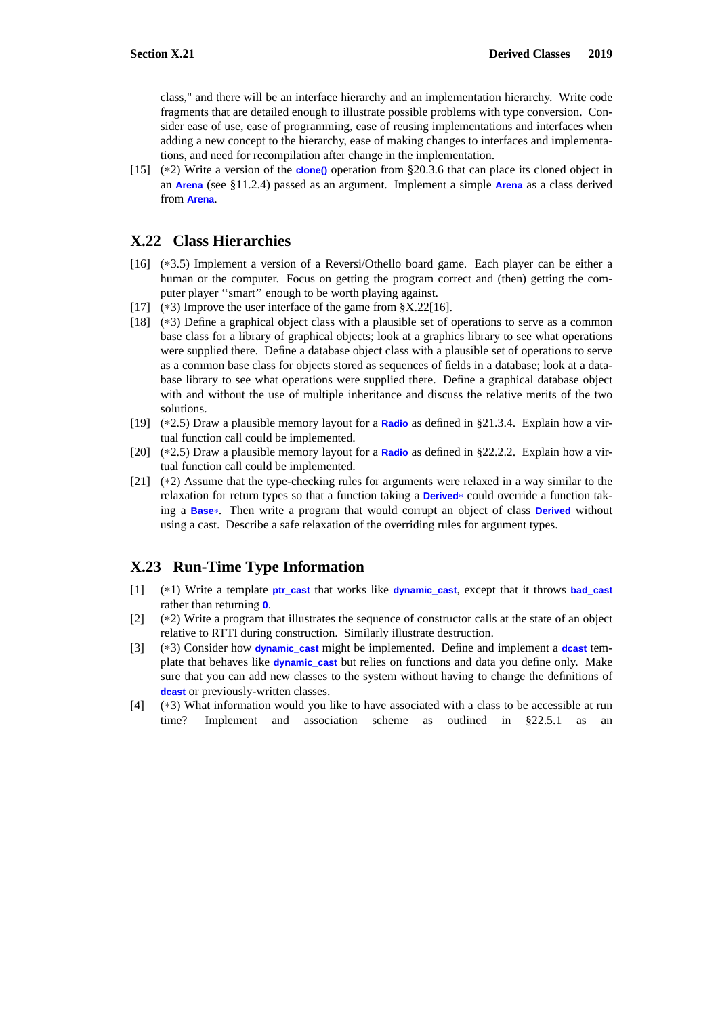class," and there will be an interface hierarchy and an implementation hierarchy. Write code fragments that are detailed enough to illustrate possible problems with type conversion. Consider ease of use, ease of programming, ease of reusing implementations and interfaces when adding a new concept to the hierarchy, ease of making changes to interfaces and implementations, and need for recompilation after change in the implementation.

[15] (∗2) Write a version of the **clone()** operation from §20.3.6 that can place its cloned object in an **Arena** (see §11.2.4) passed as an argument. Implement a simple **Arena** as a class derived from **Arena**.

#### **X.22 Class Hierarchies**

- [16] (\*3.5) Implement a version of a Reversi/Othello board game. Each player can be either a human or the computer. Focus on getting the program correct and (then) getting the computer player ''smart'' enough to be worth playing against.
- [17] (\*3) Improve the user interface of the game from §X.22[16].
- [18] (\*3) Define a graphical object class with a plausible set of operations to serve as a common base class for a library of graphical objects; look at a graphics library to see what operations were supplied there. Define a database object class with a plausible set of operations to serve as a common base class for objects stored as sequences of fields in a database; look at a database library to see what operations were supplied there. Define a graphical database object with and without the use of multiple inheritance and discuss the relative merits of the two solutions.
- [19] (∗2.5) Draw a plausible memory layout for a **Radio** as defined in §21.3.4. Explain how a virtual function call could be implemented.
- [20] (∗2.5) Draw a plausible memory layout for a **Radio** as defined in §22.2.2. Explain how a virtual function call could be implemented.
- [21] (∗2) Assume that the type-checking rules for arguments were relaxed in a way similar to the relaxation for return types so that a function taking a **Derived**∗ could override a function taking a **Base**∗. Then write a program that would corrupt an object of class **Derived** without using a cast. Describe a safe relaxation of the overriding rules for argument types.

## **X.23 Run-Time Type Information**

- [1] (∗1) Write a template **ptr\_cast** that works like **dynamic\_cast**, except that it throws **bad\_cast** rather than returning **0**.
- [2] (∗2) Write a program that illustrates the sequence of constructor calls at the state of an object relative to RTTI during construction. Similarly illustrate destruction.
- [3] (∗3) Consider how **dynamic\_cast** might be implemented. Define and implement a **dcast** template that behaves like **dynamic\_cast** but relies on functions and data you define only. Make sure that you can add new classes to the system without having to change the definitions of **dcast** or previously-written classes.
- [4] (\*3) What information would you like to have associated with a class to be accessible at run time? Implement and association scheme as outlined in §22.5.1 as an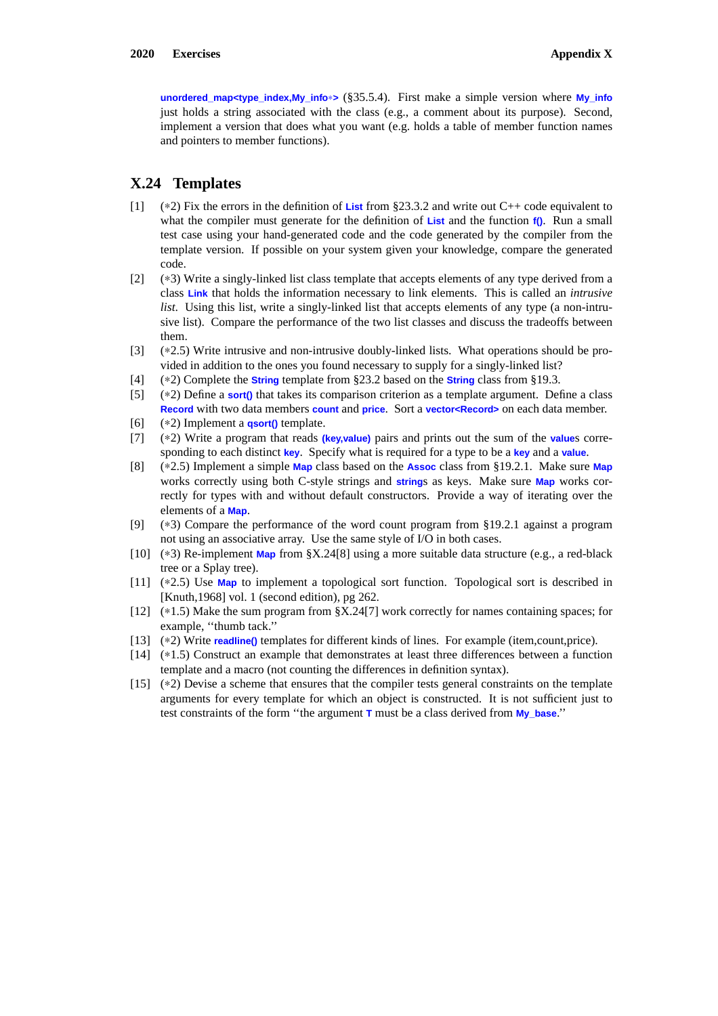**unordered\_map<type\_index,My\_info**∗**>** (§35.5.4). First make a simple version where **My\_info** just holds a string associated with the class (e.g., a comment about its purpose). Second, implement a version that does what you want (e.g. holds a table of member function names and pointers to member functions).

## **X.24 Templates**

- [1] (∗2) Fix the errors in the definition of **List** from §23.3.2 and write out C++ code equivalent to what the compiler must generate for the definition of **List** and the function **f()**. Run a small test case using your hand-generated code and the code generated by the compiler from the template version. If possible on your system given your knowledge, compare the generated code.
- [2] (∗3) Write a singly-linked list class template that accepts elements of any type derived from a class **Link** that holds the information necessary to link elements. This is called an *intrusive list*. Using this list, write a singly-linked list that accepts elements of any type (a non-intrusive list). Compare the performance of the two list classes and discuss the tradeoffs between them.
- [3] (∗2.5) Write intrusive and non-intrusive doubly-linked lists. What operations should be provided in addition to the ones you found necessary to supply for a singly-linked list?
- [4] (∗2) Complete the **String** template from §23.2 based on the **String** class from §19.3.
- [5] (∗2) Define a **sor t()** that takes its comparison criterion as a template argument. Define a class **Record** with two data members **count** and **price**. Sort a **vector**<Record> on each data member.
- [6] (∗2) Implement a **qsor t()** template.
- [7] (∗2) Write a program that reads **(key,value)** pairs and prints out the sum of the **value**s corresponding to each distinct **key**. Specify what is required for a type to be a **key** and a **value**.
- [8] (∗2.5) Implement a simple **Map** class based on the **Assoc** class from §19.2.1. Make sure **Map** works correctly using both C-style strings and **string**s as keys. Make sure **Map** works correctly for types with and without default constructors. Provide a way of iterating over the elements of a **Map**.
- [9] (∗3) Compare the performance of the word count program from §19.2.1 against a program not using an associative array. Use the same style of I/O in both cases.
- [10] (∗3) Re-implement **Map** from §X.24[8] using a more suitable data structure (e.g., a red-black tree or a Splay tree).
- [11] (\*2.5) Use Map to implement a topological sort function. Topological sort is described in [Knuth,1968] vol. 1 (second edition), pg 262.
- [12] (\*1.5) Make the sum program from §X.24[7] work correctly for names containing spaces; for example, "thumb tack."
- [13] (∗2) Write **readline()** templates for different kinds of lines. For example (item,count,price).
- [14] (∗1.5) Construct an example that demonstrates at least three differences between a function template and a macro (not counting the differences in definition syntax).
- [15] (\*2) Devise a scheme that ensures that the compiler tests general constraints on the template arguments for every template for which an object is constructed. It is not sufficient just to test constraints of the form ''the argument **T** must be a class derived from **My\_base**.''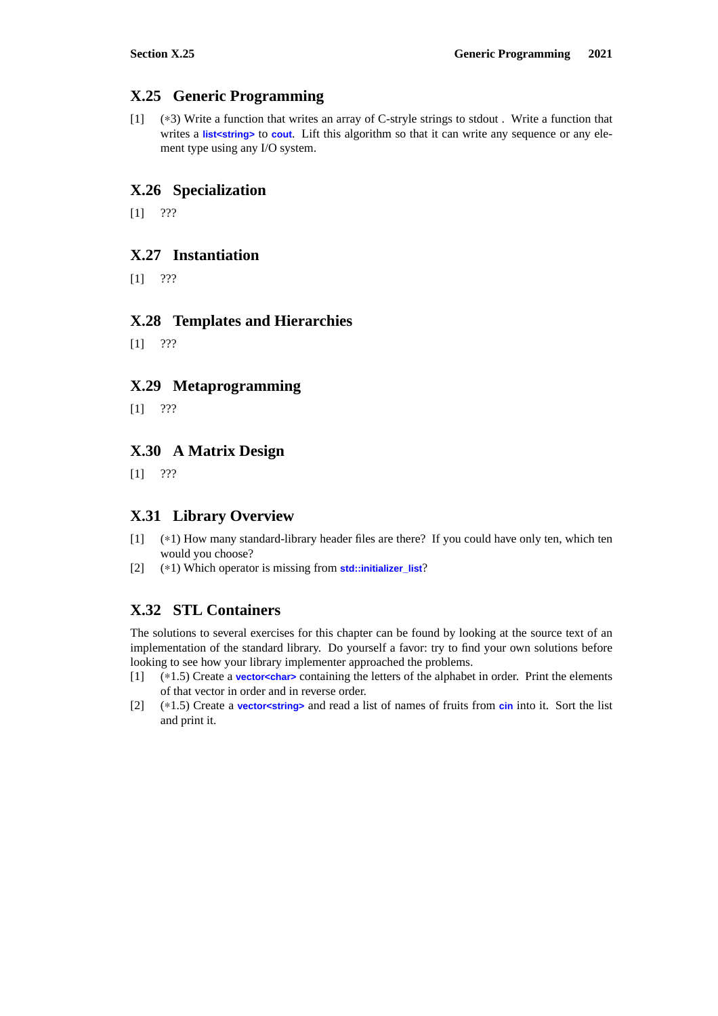## **X.25 Generic Programming**

[1] (∗3) Write a function that writes an array of C-stryle strings to stdout . Write a function that writes a **list-string>** to **cout**. Lift this algorithm so that it can write any sequence or any element type using any I/O system.

## **X.26 Specialization**

[1] ???

#### **X.27 Instantiation**

[1] ???

#### **X.28 Templates and Hierarchies**

[1] ???

#### **X.29 Metaprogramming**

[1] ???

#### **X.30 A Matrix Design**

[1] ???

#### **X.31 Library Overview**

- [1] (∗1) How many standard-library header files are there? If you could have only ten, which ten would you choose?
- [2] (\*1) Which operator is missing from **std::initializer\_list**?

## **X.32 STL Containers**

The solutions to several exercises for this chapter can be found by looking at the source text of an implementation of the standard library. Do yourself a favor: try to find your own solutions before looking to see how your library implementer approached the problems.

- [1] (∗1.5) Create a **vector<char>** containing the letters of the alphabet in order. Print the elements of that vector in order and in reverse order.
- [2] (∗1.5) Create a **vector<string>** and read a list of names of fruits from **cin** into it. Sort the list and print it.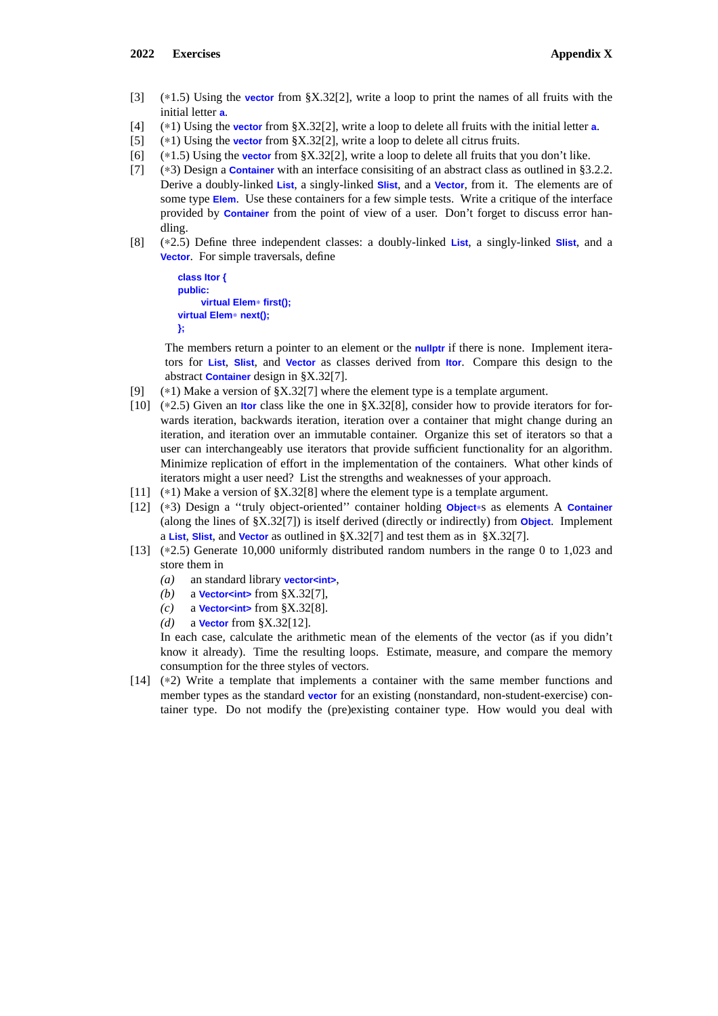- [3] (∗1.5) Using the **vector** from §X.32[2], write a loop to print the names of all fruits with the initial letter **a**.
- [4] (∗1) Using the **vector** from §X.32[2], write a loop to delete all fruits with the initial letter **a**.
- [5] (∗1) Using the **vector** from §X.32[2], write a loop to delete all citrus fruits.
- [6] (∗1.5) Using the **vector** from §X.32[2], write a loop to delete all fruits that you don't like.
- [7] (∗3) Design a **Container** with an interface consisiting of an abstract class as outlined in §3.2.2. Derive a doubly-linked **List**, a singly-linked **Slist**, and a **Vector**, from it. The elements are of some type **Elem**. Use these containers for a few simple tests. Write a critique of the interface provided by **Container** from the point of view of a user. Don't forget to discuss error handling.
- [8] (∗2.5) Define three independent classes: a doubly-linked **List**, a singly-linked **Slist**, and a **Vector**. For simple traversals, define

```
class Itor {
public:
     vir tual Elem∗ first();
vir tual Elem∗ next();
};
```
The members return a pointer to an element or the **nullptr** if there is none. Implement iterators for **List**, **Slist**, and **Vector** as classes derived from **Itor**. Compare this design to the abstract **Container** design in §X.32[7].

- [9] (∗1) Make a version of §X.32[7] where the element type is a template argument.
- [10] (∗2.5) Given an **Itor** class like the one in §X.32[8], consider how to provide iterators for forwards iteration, backwards iteration, iteration over a container that might change during an iteration, and iteration over an immutable container. Organize this set of iterators so that a user can interchangeably use iterators that provide sufficient functionality for an algorithm. Minimize replication of effort in the implementation of the containers. What other kinds of iterators might a user need? List the strengths and weaknesses of your approach.
- [11] (\*1) Make a version of §X.32[8] where the element type is a template argument.
- [12] (∗3) Design a ''truly object-oriented'' container holding **Object**∗s as elements A **Container** (along the lines of §X.32[7]) is itself derived (directly or indirectly) from **Object**. Implement a **List**, **Slist**, and **Vector** as outlined in §X.32[7] and test them as in §X.32[7].
- [13] (\*2.5) Generate 10,000 uniformly distributed random numbers in the range 0 to 1,023 and store them in
	- *(a)* an standard library **vector<int>**,
	- *(b)* a **Vector<int>** from §X.32[7],
	- *(c)* a **Vector<int>** from §X.32[8].
	- *(d)* a **Vector** from §X.32[12].

In each case, calculate the arithmetic mean of the elements of the vector (as if you didn't know it already). Time the resulting loops. Estimate, measure, and compare the memory consumption for the three styles of vectors.

[14] (∗2) Write a template that implements a container with the same member functions and member types as the standard **vector** for an existing (nonstandard, non-student-exercise) container type. Do not modify the (pre)existing container type. How would you deal with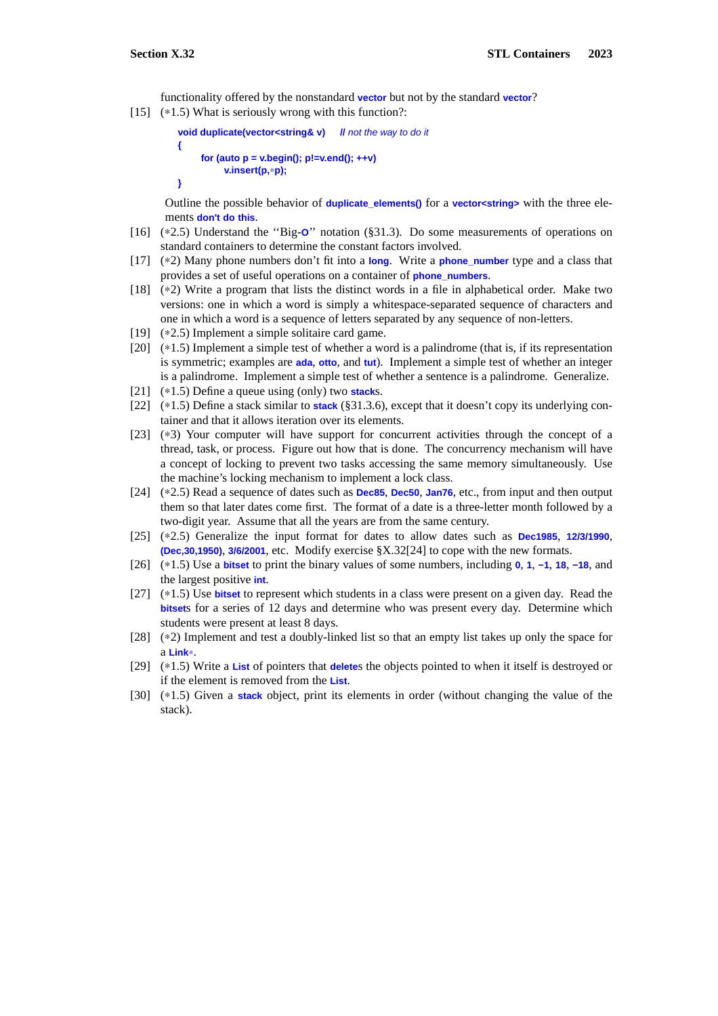functionality offered by the nonstandard **vector** but not by the standard **vector**? [15] (\*1.5) What is seriously wrong with this function?:

> **void duplicate(vector<string& v) //** *not the way to do it* **{ for (auto p = v.begin(); p!=v.end(); ++v) v.inser t(p,**∗**p);**

**}**

Outline the possible behavior of **duplicate\_elements()** for a **vector<string>** with the three elements **don't do this**.

- [16] (∗2.5) Understand the ''Big-**O**'' notation (§31.3). Do some measurements of operations on standard containers to determine the constant factors involved.
- [17] (∗2) Many phone numbers don't fit into a **long**. Write a **phone\_number** type and a class that provides a set of useful operations on a container of **phone\_numbers**.
- [18] (∗2) Write a program that lists the distinct words in a file in alphabetical order. Make two versions: one in which a word is simply a whitespace-separated sequence of characters and one in which a word is a sequence of letters separated by any sequence of non-letters.
- [19] (∗2.5) Implement a simple solitaire card game.
- [20] (∗1.5) Implement a simple test of whether a word is a palindrome (that is, if its representation is symmetric; examples are **ada**, **otto**, and **tut**). Implement a simple test of whether an integer is a palindrome. Implement a simple test of whether a sentence is a palindrome. Generalize.
- [21] (∗1.5) Define a queue using (only) two **stack**s.
- [22] (∗1.5) Define a stack similar to **stack** (§31.3.6), except that it doesn't copy its underlying container and that it allows iteration over its elements.
- [23] (∗3) Your computer will have support for concurrent activities through the concept of a thread, task, or process. Figure out how that is done. The concurrency mechanism will have a concept of locking to prevent two tasks accessing the same memory simultaneously. Use the machine's locking mechanism to implement a lock class.
- [24] (∗2.5) Read a sequence of dates such as **Dec85**, **Dec50**, **Jan76**, etc., from input and then output them so that later dates come first. The format of a date is a three-letter month followed by a two-digit year. Assume that all the years are from the same century.
- [25] (∗2.5) Generalize the input format for dates to allow dates such as **Dec1985**, **12/3/1990**, **(Dec,30,1950)**, **3/6/2001**, etc. Modify exercise §X.32[24] to cope with the new formats.
- [26] (∗1.5) Use a **bitset** to print the binary values of some numbers, including **0**, **1**, **−1**, **18**, **−18**, and the largest positive **int**.
- [27] (∗1.5) Use **bitset** to represent which students in a class were present on a given day. Read the **bitset**s for a series of 12 days and determine who was present every day. Determine which students were present at least 8 days.
- [28] (∗2) Implement and test a doubly-linked list so that an empty list takes up only the space for a **Link**∗.
- [29] (∗1.5) Write a **List** of pointers that **delete**s the objects pointed to when it itself is destroyed or if the element is removed from the **List**.
- [30] (∗1.5) Given a **stack** object, print its elements in order (without changing the value of the stack).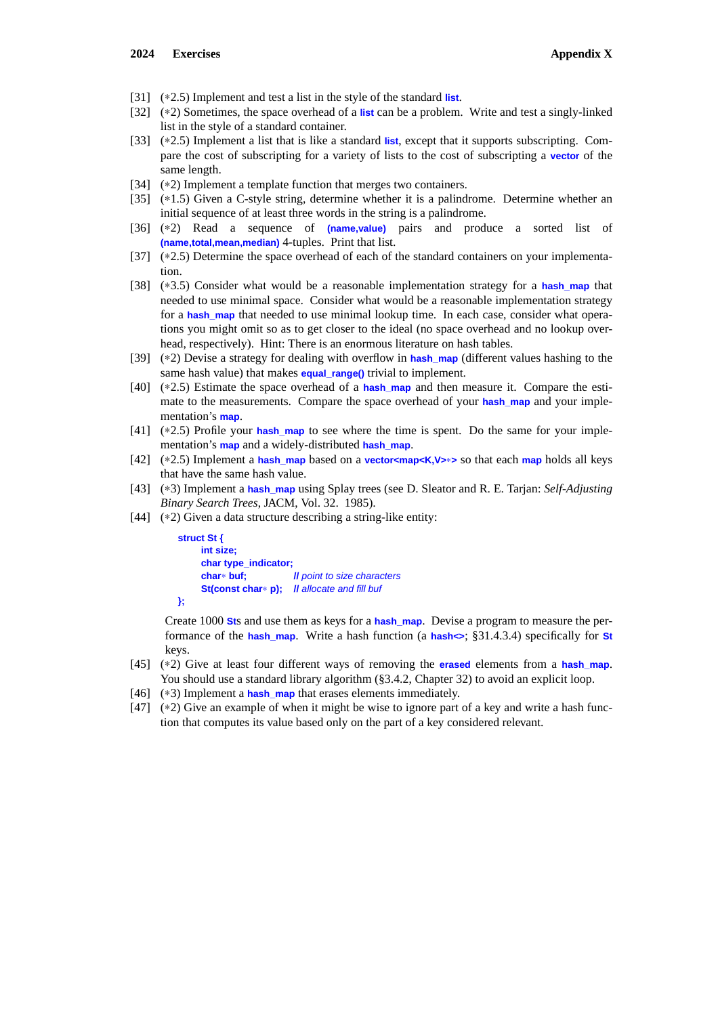- [31] (∗2.5) Implement and test a list in the style of the standard **list**.
- [32] (∗2) Sometimes, the space overhead of a **list** can be a problem. Write and test a singly-linked list in the style of a standard container.
- [33] (∗2.5) Implement a list that is like a standard **list**, except that it supports subscripting. Compare the cost of subscripting for a variety of lists to the cost of subscripting a **vector** of the same length.
- [34] (\*2) Implement a template function that merges two containers.
- [35] (∗1.5) Given a C-style string, determine whether it is a palindrome. Determine whether an initial sequence of at least three words in the string is a palindrome.
- [36] (\*2) Read a sequence of (name,value) pairs and produce a sorted list of **(name ,total,mean,median)** 4-tuples. Print that list.
- [37] (\*2.5) Determine the space overhead of each of the standard containers on your implementation.
- [38] (∗3.5) Consider what would be a reasonable implementation strategy for a **hash\_map** that needed to use minimal space. Consider what would be a reasonable implementation strategy for a **hash map** that needed to use minimal lookup time. In each case, consider what operations you might omit so as to get closer to the ideal (no space overhead and no lookup overhead, respectively). Hint: There is an enormous literature on hash tables.
- [39] (∗2) Devise a strategy for dealing with overflow in **hash\_map** (different values hashing to the same hash value) that makes **equal\_range()** trivial to implement.
- [40] (∗2.5) Estimate the space overhead of a **hash\_map** and then measure it. Compare the estimate to the measurements. Compare the space overhead of your **hash\_map** and your implementation's **map**.
- [41] (∗2.5) Profile your **hash\_map** to see where the time is spent. Do the same for your implementation's **map** and a widely-distributed **hash\_map**.
- [42] (∗2.5) Implement a **hash\_map** based on a **vector<map<K,V>**∗**>** so that each **map** holds all keys that have the same hash value.
- [43] (∗3) Implement a **hash\_map** using Splay trees (see D. Sleator and R. E. Tarjan: *Self-Adjusting Binary Search Trees*, JACM, Vol. 32. 1985).
- [44] (\*2) Given a data structure describing a string-like entity:

```
struct St {
    int size;
     char type_indicator;
     char∗ buf; // point to size characters
     St(const char∗ p); // allocate and fill buf
```
**};**

Create 1000 **St**s and use them as keys for a **hash\_map**. Devise a program to measure the performance of the **hash\_map**. Write a hash function (a **hash<>**; §31.4.3.4) specifically for **St** keys.

- [45] (∗2) Give at least four different ways of removing the **erased** elements from a **hash\_map**. You should use a standard library algorithm (§3.4.2, Chapter 32) to avoid an explicit loop.
- [46] (∗3) Implement a **hash\_map** that erases elements immediately.
- [47] (\*2) Give an example of when it might be wise to ignore part of a key and write a hash function that computes its value based only on the part of a key considered relevant.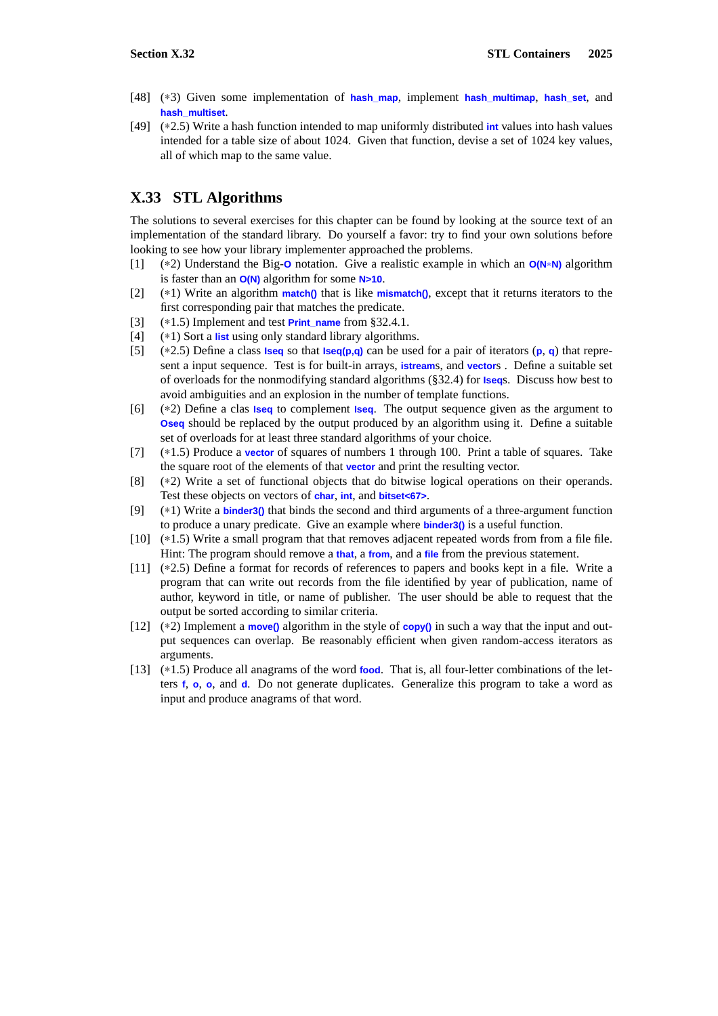- [48] (∗3) Given some implementation of **hash\_map**, implement **hash\_multimap**, **hash\_set**, and **hash\_multiset**.
- [49] (∗2.5) Write a hash function intended to map uniformly distributed **int** values into hash values intended for a table size of about 1024. Given that function, devise a set of 1024 key values, all of which map to the same value.

#### **X.33 STL Algorithms**

The solutions to several exercises for this chapter can be found by looking at the source text of an implementation of the standard library. Do yourself a favor: try to find your own solutions before looking to see how your library implementer approached the problems.

- [1] (∗2) Understand the Big-**O** notation. Give a realistic example in which an **O(N**∗**N)** algorithm is faster than an **O(N)** algorithm for some **N>10**.
- [2] (∗1) Write an algorithm **match()** that is like **mismatch()**, except that it returns iterators to the first corresponding pair that matches the predicate.
- [3] (∗1.5) Implement and test **Print\_name** from §32.4.1.
- [4] (∗1) Sort a **list** using only standard library algorithms.
- [5] (∗2.5) Define a class **Iseq** so that **Iseq(p,q)** can be used for a pair of iterators (**p**, **q**) that represent a input sequence. Test is for built-in arrays, **istream**s, and **vector**s . Define a suitable set of overloads for the nonmodifying standard algorithms (§32.4) for **Iseq**s. Discuss how best to avoid ambiguities and an explosion in the number of template functions.
- [6] (∗2) Define a clas **Iseq** to complement **Iseq**. The output sequence given as the argument to **Oseq** should be replaced by the output produced by an algorithm using it. Define a suitable set of overloads for at least three standard algorithms of your choice.
- [7] (∗1.5) Produce a **vector** of squares of numbers 1 through 100. Print a table of squares. Take the square root of the elements of that **vector** and print the resulting vector.
- [8] (∗2) Write a set of functional objects that do bitwise logical operations on their operands. Test these objects on vectors of **char**, **int**, and **bitset<67>**.
- [9] (∗1) Write a **binder3()** that binds the second and third arguments of a three-argument function to produce a unary predicate. Give an example where **binder3()** is a useful function.
- [10] (\*1.5) Write a small program that that removes adjacent repeated words from from a file file. Hint: The program should remove a **that**, a **from**, and a **file** from the previous statement.
- [11] (∗2.5) Define a format for records of references to papers and books kept in a file. Write a program that can write out records from the file identified by year of publication, name of author, keyword in title, or name of publisher. The user should be able to request that the output be sorted according to similar criteria.
- [12] (∗2) Implement a **move()** algorithm in the style of **copy()** in such a way that the input and output sequences can overlap. Be reasonably efficient when given random-access iterators as arguments.
- [13] (∗1.5) Produce all anagrams of the word **food**. That is, all four-letter combinations of the letters **f**, **o**, **o**, and **d**. Do not generate duplicates. Generalize this program to take a word as input and produce anagrams of that word.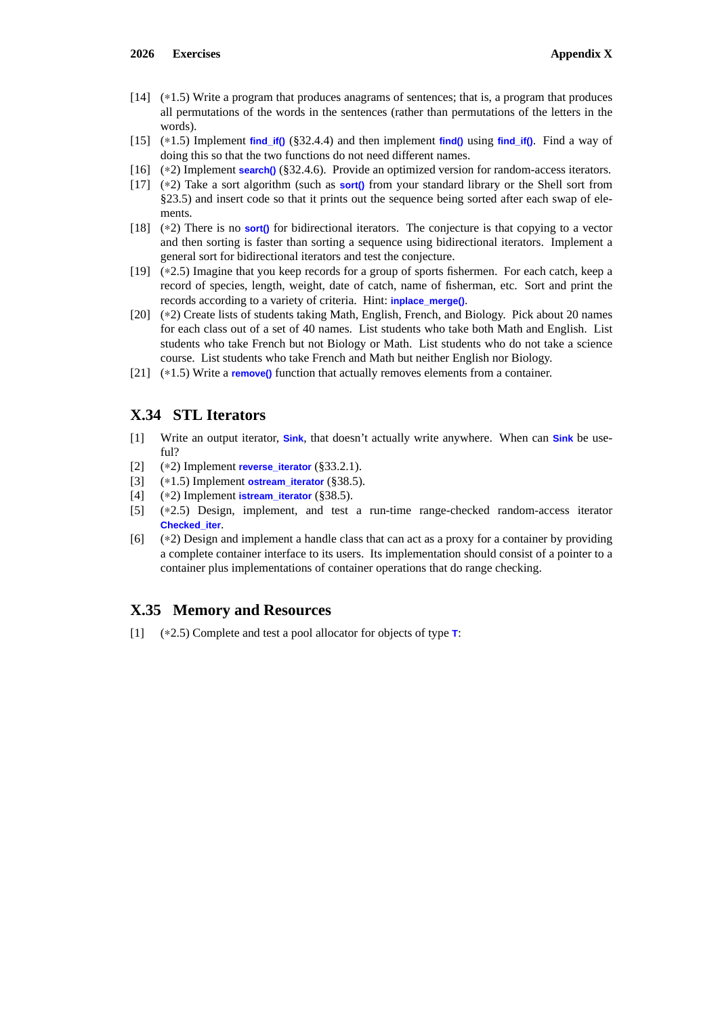- [14] (∗1.5) Write a program that produces anagrams of sentences; that is, a program that produces all permutations of the words in the sentences (rather than permutations of the letters in the words).
- [15] (∗1.5) Implement **find\_if()** (§32.4.4) and then implement **find()** using **find\_if()**. Find a way of doing this so that the two functions do not need different names.
- [16] (∗2) Implement **search()** (§32.4.6). Provide an optimized version for random-access iterators.
- [17] (\*2) Take a sort algorithm (such as **sort**() from your standard library or the Shell sort from §23.5) and insert code so that it prints out the sequence being sorted after each swap of elements.
- [18] (\*2) There is no **sort()** for bidirectional iterators. The conjecture is that copying to a vector and then sorting is faster than sorting a sequence using bidirectional iterators. Implement a general sort for bidirectional iterators and test the conjecture.
- [19] (∗2.5) Imagine that you keep records for a group of sports fishermen. For each catch, keep a record of species, length, weight, date of catch, name of fisherman, etc. Sort and print the records according to a variety of criteria. Hint: **inplace\_merge()**.
- [20] (∗2) Create lists of students taking Math, English, French, and Biology. Pick about 20 names for each class out of a set of 40 names. List students who take both Math and English. List students who take French but not Biology or Math. List students who do not take a science course. List students who take French and Math but neither English nor Biology.
- [21] (∗1.5) Write a **remove()** function that actually removes elements from a container.

#### **X.34 STL Iterators**

- [1] Write an output iterator, **Sink**, that doesn't actually write anywhere. When can **Sink** be useful?
- [2] (∗2) Implement **reverse\_iterator** (§33.2.1).
- [3] (∗1.5) Implement **ostream\_iterator** (§38.5).
- [4] (∗2) Implement **istream\_iterator** (§38.5).
- [5] (∗2.5) Design, implement, and test a run-time range-checked random-access iterator **Checked\_iter**.
- [6] (∗2) Design and implement a handle class that can act as a proxy for a container by providing a complete container interface to its users. Its implementation should consist of a pointer to a container plus implementations of container operations that do range checking.

## **X.35 Memory and Resources**

[1] (∗2.5) Complete and test a pool allocator for objects of type **T**: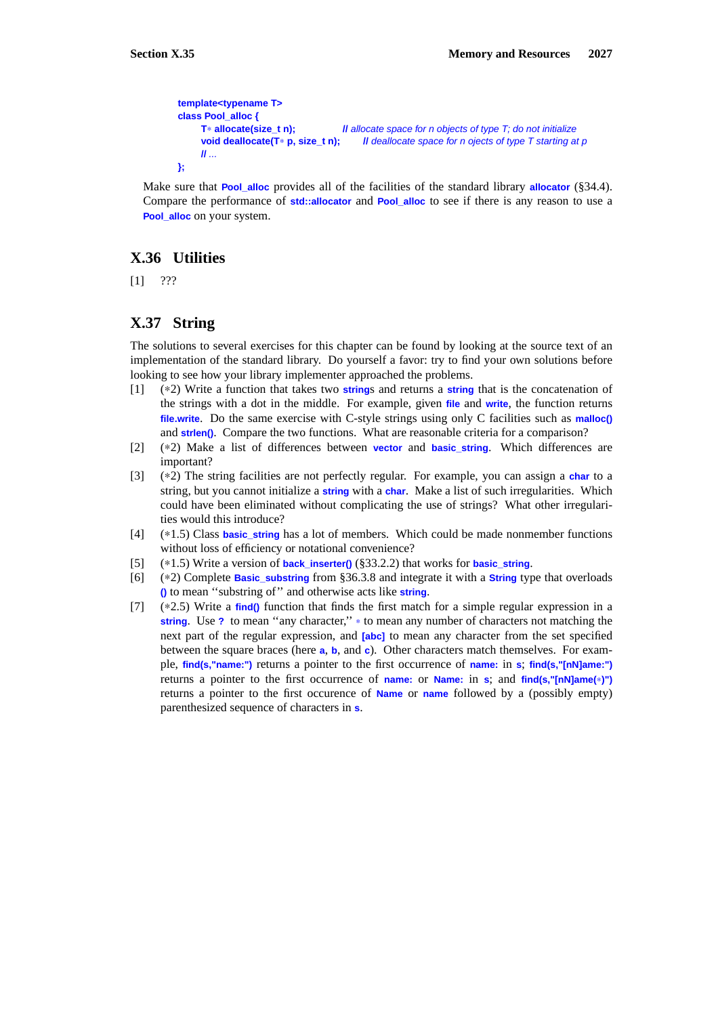```
template<typename T>
class Pool_alloc {
     T<sup>∗</sup> allocate(size_t n); /// allocate space for n objects of type T; do not initialize
     void deallocate(T<sup>∗</sup> p, size_t n); // deallocate space for n ojects of type T starting at p
     // ...
};
```
Make sure that **Pool\_alloc** provides all of the facilities of the standard library **allocator** (§34.4). Compare the performance of **std::allocator** and **Pool\_alloc** to see if there is any reason to use a **Pool\_alloc** on your system.

#### **X.36 Utilities**

[1] ???

#### **X.37 String**

The solutions to several exercises for this chapter can be found by looking at the source text of an implementation of the standard library. Do yourself a favor: try to find your own solutions before looking to see how your library implementer approached the problems.

- [1] (∗2) Write a function that takes two **string**s and returns a **string** that is the concatenation of the strings with a dot in the middle. For example, given **file** and **write**, the function returns **file .write**. Do the same exercise with C-style strings using only C facilities such as **malloc()** and **strlen()**. Compare the two functions. What are reasonable criteria for a comparison?
- [2] (∗2) Make a list of differences between **vector** and **basic\_string**. Which differences are important?
- [3] (∗2) The string facilities are not perfectly regular. For example, you can assign a **char** to a string, but you cannot initialize a **string** with a **char**. Make a list of such irregularities. Which could have been eliminated without complicating the use of strings? What other irregularities would this introduce?
- [4] (∗1.5) Class **basic\_string** has a lot of members. Which could be made nonmember functions without loss of efficiency or notational convenience?
- [5] (∗1.5) Write a version of **back\_inser ter()** (§33.2.2) that works for **basic\_string**.
- [6] (∗2) Complete **Basic\_substring** from §36.3.8 and integrate it with a **String** type that overloads **()** to mean ''substring of'' and otherwise acts like **string**.
- [7] (∗2.5) Write a **find()** function that finds the first match for a simple regular expression in a **string.** Use ? to mean "any character," \* to mean any number of characters not matching the next part of the regular expression, and **[abc]** to mean any character from the set specified between the square braces (here **a**, **b**, and **c**). Other characters match themselves. For example, **find(s,"name:")** returns a pointer to the first occurrence of **name:** in **s**; **find(s,"[nN]ame:")** returns a pointer to the first occurrence of **name:** or **Name:** in **s**; and **find(s,"[nN]ame(**∗**)")** returns a pointer to the first occurence of **Name** or **name** followed by a (possibly empty) parenthesized sequence of characters in **s**.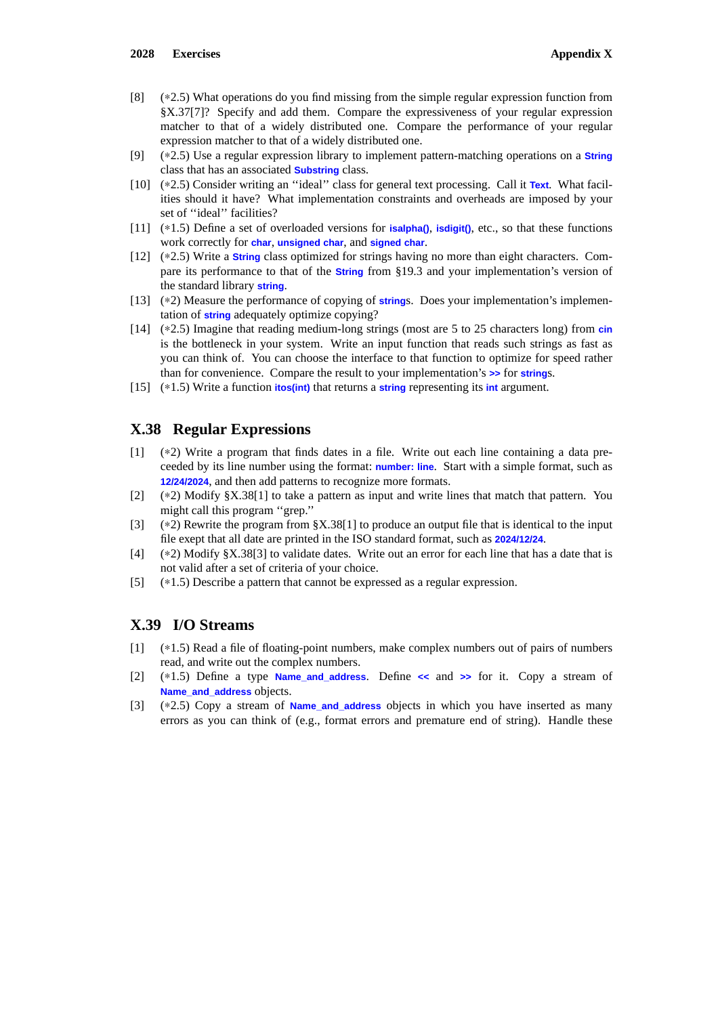- [8] (∗2.5) What operations do you find missing from the simple regular expression function from §X.37[7]? Specify and add them. Compare the expressiveness of your regular expression matcher to that of a widely distributed one. Compare the performance of your regular expression matcher to that of a widely distributed one.
- [9] (∗2.5) Use a regular expression library to implement pattern-matching operations on a **String** class that has an associated **Substring** class.
- [10] (∗2.5) Consider writing an ''ideal'' class for general text processing. Call it **Te xt**. What facilities should it have? What implementation constraints and overheads are imposed by your set of "ideal" facilities?
- [11] (∗1.5) Define a set of overloaded versions for **isalpha()**, **isdigit()**, etc., so that these functions work correctly for **char**, **unsigned char**, and **signed char**.
- [12] (∗2.5) Write a **String** class optimized for strings having no more than eight characters. Compare its performance to that of the **String** from §19.3 and your implementation's version of the standard library **string**.
- [13] (∗2) Measure the performance of copying of **string**s. Does your implementation's implementation of **string** adequately optimize copying?
- [14] (∗2.5) Imagine that reading medium-long strings (most are 5 to 25 characters long) from **cin** is the bottleneck in your system. Write an input function that reads such strings as fast as you can think of. You can choose the interface to that function to optimize for speed rather than for convenience. Compare the result to your implementation's **>>** for **string**s.
- [15] (∗1.5) Write a function **itos(int)** that returns a **string** representing its **int** argument.

#### **X.38 Regular Expressions**

- [1] (\*2) Write a program that finds dates in a file. Write out each line containing a data preceeded by its line number using the format: **number: line**. Start with a simple format, such as **12/24/2024**, and then add patterns to recognize more formats.
- [2] (∗2) Modify §X.38[1] to take a pattern as input and write lines that match that pattern. You might call this program ''grep.''
- [3] (∗2) Rewrite the program from §X.38[1] to produce an output file that is identical to the input file exept that all date are printed in the ISO standard format, such as **2024/12/24**.
- [4] (∗2) Modify §X.38[3] to validate dates. Write out an error for each line that has a date that is not valid after a set of criteria of your choice.
- [5] (∗1.5) Describe a pattern that cannot be expressed as a regular expression.

#### **X.39 I/O Streams**

- [1] (∗1.5) Read a file of floating-point numbers, make complex numbers out of pairs of numbers read, and write out the complex numbers.
- [2] (∗1.5) Define a type **Name\_and\_address**. Define **<<** and **>>** for it. Copy a stream of **Name\_and\_address** objects.
- [3] (∗2.5) Copy a stream of **Name\_and\_address** objects in which you have inserted as many errors as you can think of (e.g., format errors and premature end of string). Handle these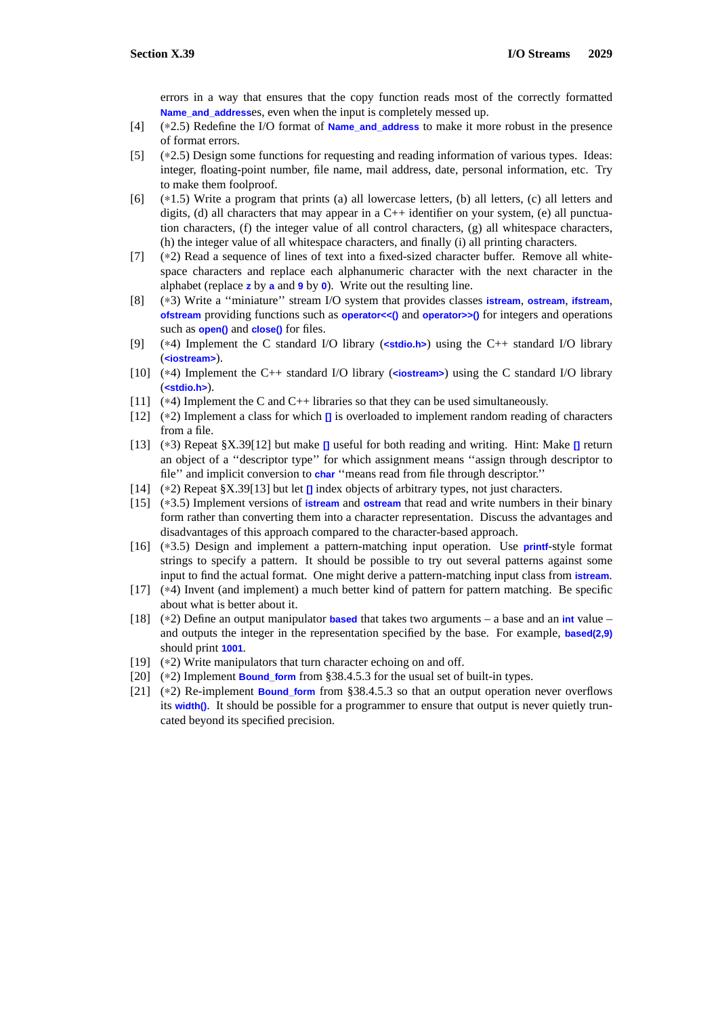errors in a way that ensures that the copy function reads most of the correctly formatted **Name\_and\_address**es, even when the input is completely messed up.

- [4] (∗2.5) Redefine the I/O format of **Name\_and\_address** to make it more robust in the presence of format errors.
- [5] (∗2.5) Design some functions for requesting and reading information of various types. Ideas: integer, floating-point number, file name, mail address, date, personal information, etc. Try to make them foolproof.
- [6] (∗1.5) Write a program that prints (a) all lowercase letters, (b) all letters, (c) all letters and digits, (d) all characters that may appear in a  $C_{++}$  identifier on your system, (e) all punctuation characters, (f) the integer value of all control characters, (g) all whitespace characters, (h) the integer value of all whitespace characters, and finally (i) all printing characters.
- [7] (∗2) Read a sequence of lines of text into a fixed-sized character buffer. Remove all whitespace characters and replace each alphanumeric character with the next character in the alphabet (replace **z** by **a** and **9** by **0**). Write out the resulting line.
- [8] (∗3) Write a ''miniature'' stream I/O system that provides classes **istream**, **ostream**, **ifstream**, **ofstream** providing functions such as **operator** << () and **operator**>>() for integers and operations such as **open()** and **close()** for files.
- [9] (∗4) Implement the C standard I/O library (**<stdio.h>**) using the C++ standard I/O library (**<iostream>**).
- [10] (∗4) Implement the C++ standard I/O library (**<iostream>**) using the C standard I/O library (**<stdio.h>**).
- [11] (\*4) Implement the C and C++ libraries so that they can be used simultaneously.
- [12] (∗2) Implement a class for which **[]** is overloaded to implement random reading of characters from a file.
- [13] (∗3) Repeat §X.39[12] but make **[]** useful for both reading and writing. Hint: Make **[]** return an object of a ''descriptor type'' for which assignment means ''assign through descriptor to file'' and implicit conversion to **char** ''means read from file through descriptor.''
- [14] (∗2) Repeat §X.39[13] but let **[]** index objects of arbitrary types, not just characters.
- [15] (∗3.5) Implement versions of **istream** and **ostream** that read and write numbers in their binary form rather than converting them into a character representation. Discuss the advantages and disadvantages of this approach compared to the character-based approach.
- [16] (∗3.5) Design and implement a pattern-matching input operation. Use **printf**-style format strings to specify a pattern. It should be possible to try out several patterns against some input to find the actual format. One might derive a pattern-matching input class from **istream**.
- [17] (∗4) Invent (and implement) a much better kind of pattern for pattern matching. Be specific about what is better about it.
- [18] (∗2) Define an output manipulator **based** that takes two arguments a base and an **int** value and outputs the integer in the representation specified by the base. For example, **based(2,9)** should print **1001**.
- [19] (\*2) Write manipulators that turn character echoing on and off.
- [20] (∗2) Implement **Bound\_form** from §38.4.5.3 for the usual set of built-in types.
- [21] (∗2) Re-implement **Bound\_form** from §38.4.5.3 so that an output operation never overflows its width(). It should be possible for a programmer to ensure that output is never quietly truncated beyond its specified precision.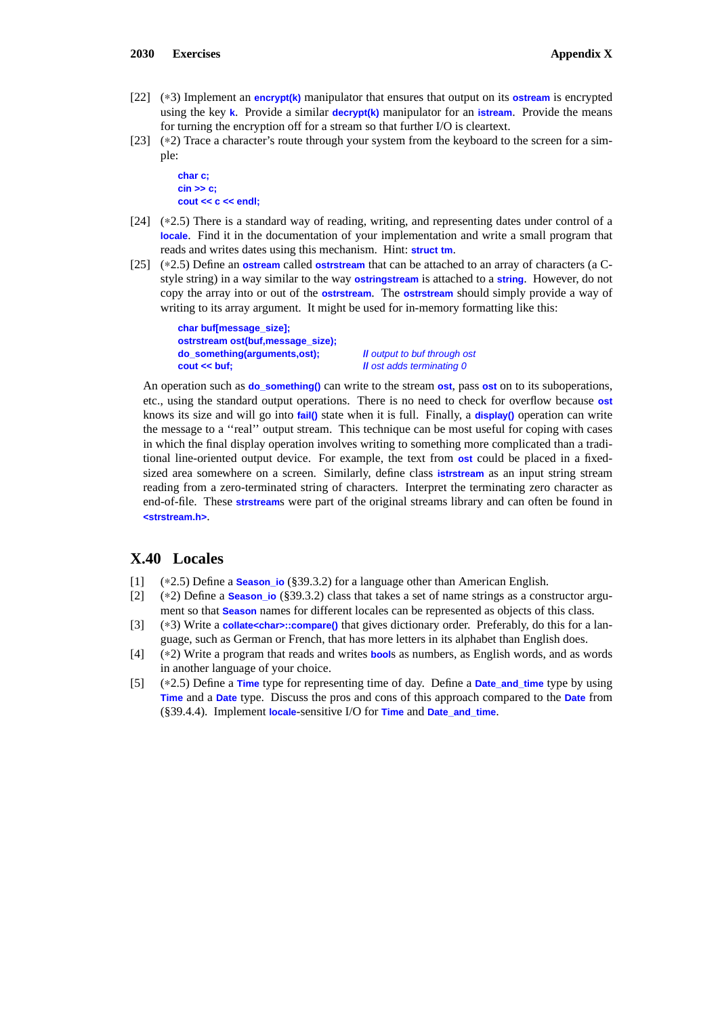- [22] (\*3) Implement an **encrypt(k)** manipulator that ensures that output on its **ostream** is encrypted using the key **k**. Provide a similar **decrypt**(k) manipulator for an **istream**. Provide the means for turning the encryption off for a stream so that further I/O is cleartext.
- [23] (\*2) Trace a character's route through your system from the keyboard to the screen for a simple:

```
char c;
cin >> c;
cout << c << endl;
```
- [24] (∗2.5) There is a standard way of reading, writing, and representing dates under control of a **locale**. Find it in the documentation of your implementation and write a small program that reads and writes dates using this mechanism. Hint: **struct tm**.
- [25] (∗2.5) Define an **ostream** called **ostrstream** that can be attached to an array of characters (a Cstyle string) in a way similar to the way **ostringstream** is attached to a **string**. However, do not copy the array into or out of the **ostrstream**. The **ostrstream** should simply provide a way of writing to its array argument. It might be used for in-memory formatting like this:

char buf[message\_size]; **ostrstream ost(buf,message\_size); do\_something(arguments,ost); //** *output to buf through ost* **cout << buf;**  $\blacksquare$  *ll* **ost adds terminating 0** 

An operation such as **do\_something()** can write to the stream **ost**, pass **ost** on to its suboperations, etc., using the standard output operations. There is no need to check for overflow because **ost** knows its size and will go into **fail()** state when it is full. Finally, a **display()** operation can write the message to a ''real'' output stream. This technique can be most useful for coping with cases in which the final display operation involves writing to something more complicated than a traditional line-oriented output device. For example, the text from **ost** could be placed in a fixedsized area somewhere on a screen. Similarly, define class **istrstream** as an input string stream reading from a zero-terminated string of characters. Interpret the terminating zero character as end-of-file. These **strstream**s were part of the original streams library and can often be found in **<strstream.h>**.

#### **X.40 Locales**

- [1] (∗2.5) Define a **Season\_io** (§39.3.2) for a language other than American English.
- [2] (∗2) Define a **Season\_io** (§39.3.2) class that takes a set of name strings as a constructor argument so that **Season** names for different locales can be represented as objects of this class.
- [3] (∗3) Write a **collate<char>::compare()** that gives dictionary order. Preferably, do this for a language, such as German or French, that has more letters in its alphabet than English does.
- [4] (∗2) Write a program that reads and writes **bool**s as numbers, as English words, and as words in another language of your choice.
- [5] (∗2.5) Define a **Time** type for representing time of day. Define a **Date\_and\_time** type by using **Time** and a **Date** type. Discuss the pros and cons of this approach compared to the **Date** from (§39.4.4). Implement **locale**-sensitive I/O for **Time** and **Date\_and\_time**.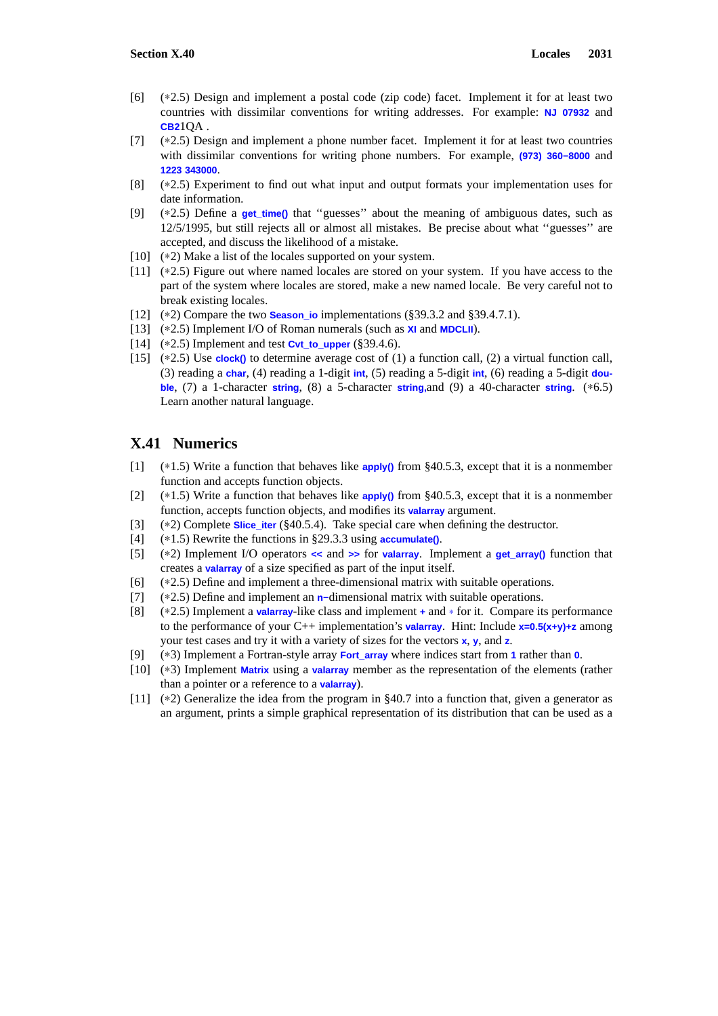- [6] (∗2.5) Design and implement a postal code (zip code) facet. Implement it for at least two countries with dissimilar conventions for writing addresses. For example: **NJ 07932** and **CB2**1QA .
- [7] (\*2.5) Design and implement a phone number facet. Implement it for at least two countries with dissimilar conventions for writing phone numbers. For example, **(973) 360−8000** and **1223 343000**.
- [8] (∗2.5) Experiment to find out what input and output formats your implementation uses for date information.
- [9] (∗2.5) Define a **get\_time()** that ''guesses'' about the meaning of ambiguous dates, such as 12/5/1995, but still rejects all or almost all mistakes. Be precise about what ''guesses'' are accepted, and discuss the likelihood of a mistake.
- [10] (\*2) Make a list of the locales supported on your system.
- [11] (∗2.5) Figure out where named locales are stored on your system. If you have access to the part of the system where locales are stored, make a new named locale. Be very careful not to break existing locales.
- [12] (∗2) Compare the two **Season\_io** implementations (§39.3.2 and §39.4.7.1).
- [13] (∗2.5) Implement I/O of Roman numerals (such as **XI** and **MDCLII**).
- [14] (∗2.5) Implement and test **Cvt\_to\_upper** (§39.4.6).
- [15] (∗2.5) Use **clock()** to determine average cost of (1) a function call, (2) a virtual function call, (3) reading a **char**, (4) reading a 1-digit **int**, (5) reading a 5-digit **int**, (6) reading a 5-digit **double**, (7) a 1-character **string**, (8) a 5-character **string,**and (9) a 40-character **string**. (∗6.5) Learn another natural language.

#### **X.41 Numerics**

- [1] (∗1.5) Write a function that behaves like **apply()** from §40.5.3, except that it is a nonmember function and accepts function objects.
- [2] (∗1.5) Write a function that behaves like **apply()** from §40.5.3, except that it is a nonmember function, accepts function objects, and modifies its **valarray** argument.
- [3] (\*2) Complete **Slice** iter (§40.5.4). Take special care when defining the destructor.
- [4] (∗1.5) Rewrite the functions in §29.3.3 using **accumulate()**.
- [5] (∗2) Implement I/O operators **<<** and **>>** for **valarray**. Implement a **get\_array()** function that creates a **valarray** of a size specified as part of the input itself.
- [6] (∗2.5) Define and implement a three-dimensional matrix with suitable operations.
- [7] (∗2.5) Define and implement an **n−**dimensional matrix with suitable operations.
- [8] (∗2.5) Implement a **valarray**-like class and implement **+** and ∗ for it. Compare its performance to the performance of your C++ implementation's **valarray**. Hint: Include **x=0.5(x+y)+z** among your test cases and try it with a variety of sizes for the vectors **x**, **y**, and **z**.
- [9] (∗3) Implement a Fortran-style array **For t\_array** where indices start from **1** rather than **0**.
- [10] (∗3) Implement **Matrix** using a **valarray** member as the representation of the elements (rather than a pointer or a reference to a **valarray**).
- [11] (∗2) Generalize the idea from the program in §40.7 into a function that, given a generator as an argument, prints a simple graphical representation of its distribution that can be used as a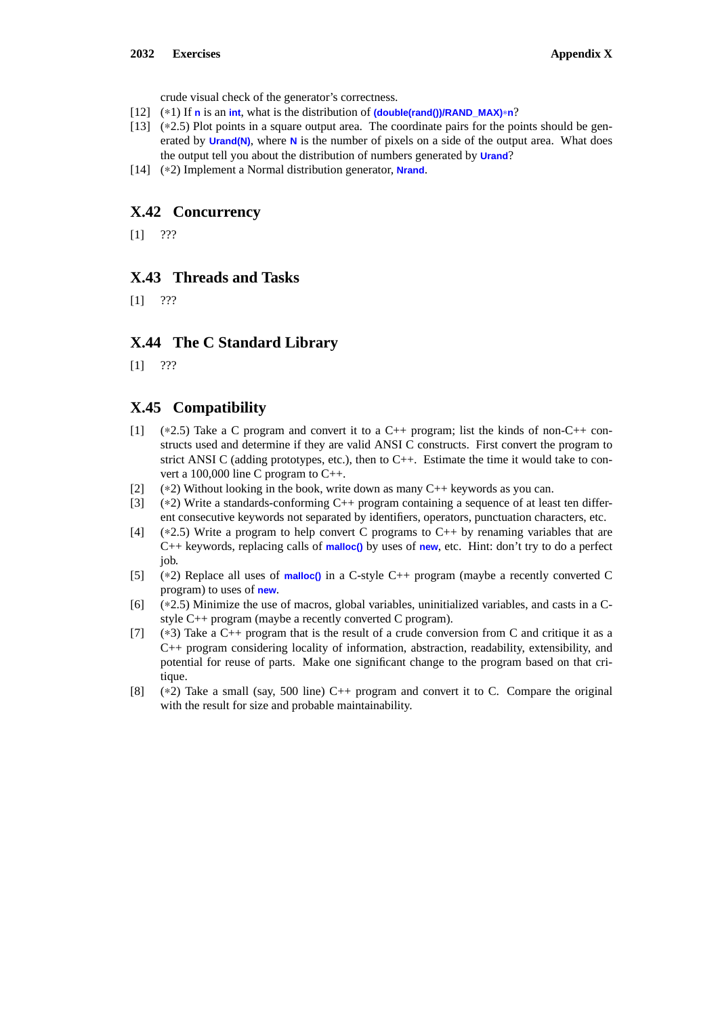crude visual check of the generator's correctness.

- [12] (∗1) If **n** is an **int**, what is the distribution of **(double(rand())/RAND\_MAX)**∗**n**?
- [13] (\*2.5) Plot points in a square output area. The coordinate pairs for the points should be generated by **Urand(N)**, where **N** is the number of pixels on a side of the output area. What does the output tell you about the distribution of numbers generated by **Urand**?
- [14] (∗2) Implement a Normal distribution generator, **Nrand**.

#### **X.42 Concurrency**

[1] ???

#### **X.43 Threads and Tasks**

[1] ???

#### **X.44 The C Standard Library**

[1] ???

#### **X.45 Compatibility**

- [1] (\*2.5) Take a C program and convert it to a  $C_{++}$  program; list the kinds of non- $C_{++}$  constructs used and determine if they are valid ANSI C constructs. First convert the program to strict ANSI C (adding prototypes, etc.), then to  $C_{++}$ . Estimate the time it would take to convert a 100,000 line C program to C++.
- [2] (\*2) Without looking in the book, write down as many C++ keywords as you can.
- [3] (∗2) Write a standards-conforming C++ program containing a sequence of at least ten different consecutive keywords not separated by identifiers, operators, punctuation characters, etc.
- [4] (∗2.5) Write a program to help convert C programs to C++ by renaming variables that are C++ keywords, replacing calls of **malloc()** by uses of **new**, etc. Hint: don't try to do a perfect job.
- [5] (∗2) Replace all uses of **malloc()** in a C-style C++ program (maybe a recently converted C program) to uses of **new**.
- [6] (∗2.5) Minimize the use of macros, global variables, uninitialized variables, and casts in a Cstyle C++ program (maybe a recently converted C program).
- [7] (∗3) Take a C++ program that is the result of a crude conversion from C and critique it as a C++ program considering locality of information, abstraction, readability, extensibility, and potential for reuse of parts. Make one significant change to the program based on that critique.
- [8] (∗2) Take a small (say, 500 line) C++ program and convert it to C. Compare the original with the result for size and probable maintainability.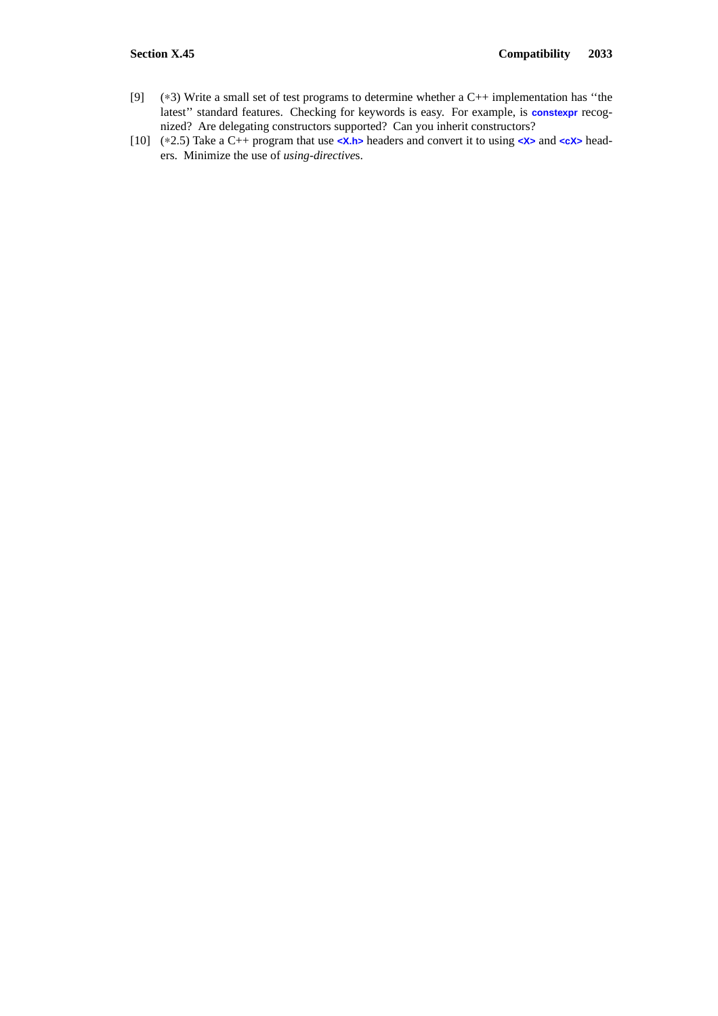- [9] (∗3) Write a small set of test programs to determine whether a C++ implementation has ''the latest'' standard features. Checking for keywords is easy. For example, is **constexpr** recognized? Are delegating constructors supported? Can you inherit constructors?
- [10] (∗2.5) Take a C++ program that use **<X.h>** headers and convert it to using **<X>** and **<cX>** headers. Minimize the use of *using-directive*s.